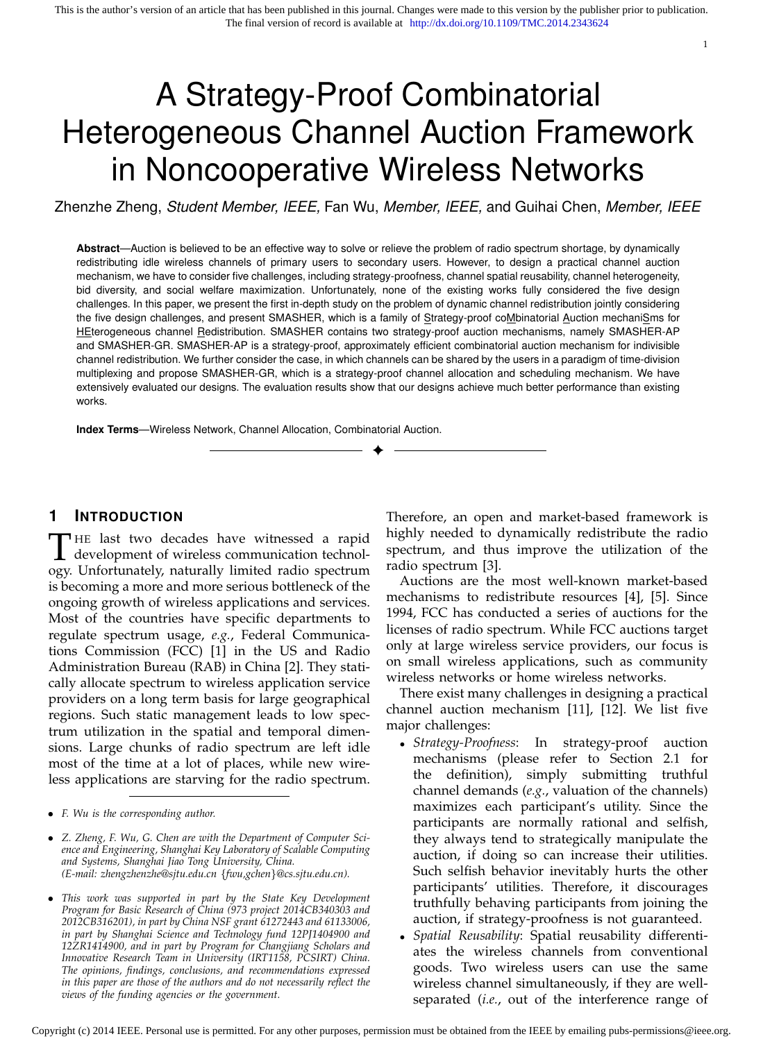# A Strategy-Proof Combinatorial Heterogeneous Channel Auction Framework in Noncooperative Wireless Networks

Zhenzhe Zheng, *Student Member, IEEE,* Fan Wu, *Member, IEEE,* and Guihai Chen, *Member, IEEE*

**Abstract**—Auction is believed to be an effective way to solve or relieve the problem of radio spectrum shortage, by dynamically redistributing idle wireless channels of primary users to secondary users. However, to design a practical channel auction mechanism, we have to consider five challenges, including strategy-proofness, channel spatial reusability, channel heterogeneity, bid diversity, and social welfare maximization. Unfortunately, none of the existing works fully considered the five design challenges. In this paper, we present the first in-depth study on the problem of dynamic channel redistribution jointly considering the five design challenges, and present SMASHER, which is a family of Strategy-proof coMbinatorial Auction mechaniSms for HEterogeneous channel Redistribution. SMASHER contains two strategy-proof auction mechanisms, namely SMASHER-AP and SMASHER-GR. SMASHER-AP is a strategy-proof, approximately efficient combinatorial auction mechanism for indivisible channel redistribution. We further consider the case, in which channels can be shared by the users in a paradigm of time-division multiplexing and propose SMASHER-GR, which is a strategy-proof channel allocation and scheduling mechanism. We have extensively evaluated our designs. The evaluation results show that our designs achieve much better performance than existing works.

✦

**Index Terms**—Wireless Network, Channel Allocation, Combinatorial Auction.

### **1 INTRODUCTION**

THE last two decades have witnessed a rapid<br>development of wireless communication technol-<br>cov. Unfortunately naturally limited radio spectrum THE last two decades have witnessed a rapid ogy. Unfortunately, naturally limited radio spectrum is becoming a more and more serious bottleneck of the ongoing growth of wireless applications and services. Most of the countries have specific departments to regulate spectrum usage, *e.g.*, Federal Communications Commission (FCC) [1] in the US and Radio Administration Bureau (RAB) in China [2]. They statically allocate spectrum to wireless application service providers on a long term basis for large geographical regions. Such static management leads to low spectrum utilization in the spatial and temporal dimensions. Large chunks of radio spectrum are left idle most of the time at a lot of places, while new wireless applications are starving for the radio spectrum.

Therefore, an open and market-based framework is highly needed to dynamically redistribute the radio spectrum, and thus improve the utilization of the radio spectrum [3].

1

Auctions are the most well-known market-based mechanisms to redistribute resources [4], [5]. Since 1994, FCC has conducted a series of auctions for the licenses of radio spectrum. While FCC auctions target only at large wireless service providers, our focus is on small wireless applications, such as community wireless networks or home wireless networks.

There exist many challenges in designing a practical channel auction mechanism [11], [12]. We list five major challenges:

- *Strategy-Proofness*: In strategy-proof auction mechanisms (please refer to Section 2.1 for the definition), simply submitting truthful channel demands (*e.g.*, valuation of the channels) maximizes each participant's utility. Since the participants are normally rational and selfish, they always tend to strategically manipulate the auction, if doing so can increase their utilities. Such selfish behavior inevitably hurts the other participants' utilities. Therefore, it discourages truthfully behaving participants from joining the auction, if strategy-proofness is not guaranteed.
- *Spatial Reusability*: Spatial reusability differentiates the wireless channels from conventional goods. Two wireless users can use the same wireless channel simultaneously, if they are wellseparated (*i.e.*, out of the interference range of

<sup>•</sup> *F. Wu is the corresponding author.*

<sup>•</sup> *Z. Zheng, F. Wu, G. Chen are with the Department of Computer Science and Engineering, Shanghai Key Laboratory of Scalable Computing and Systems, Shanghai Jiao Tong University, China. (E-mail: zhengzhenzhe@sjtu.edu.cn* {*fwu,gchen*}*@cs.sjtu.edu.cn).*

<sup>•</sup> *This work was supported in part by the State Key Development Program for Basic Research of China (973 project 2014CB340303 and 2012CB316201), in part by China NSF grant 61272443 and 61133006, in part by Shanghai Science and Technology fund 12PJ1404900 and 12ZR1414900, and in part by Program for Changjiang Scholars and Innovative Research Team in University (IRT1158, PCSIRT) China. The opinions, findings, conclusions, and recommendations expressed in this paper are those of the authors and do not necessarily reflect the views of the funding agencies or the government.*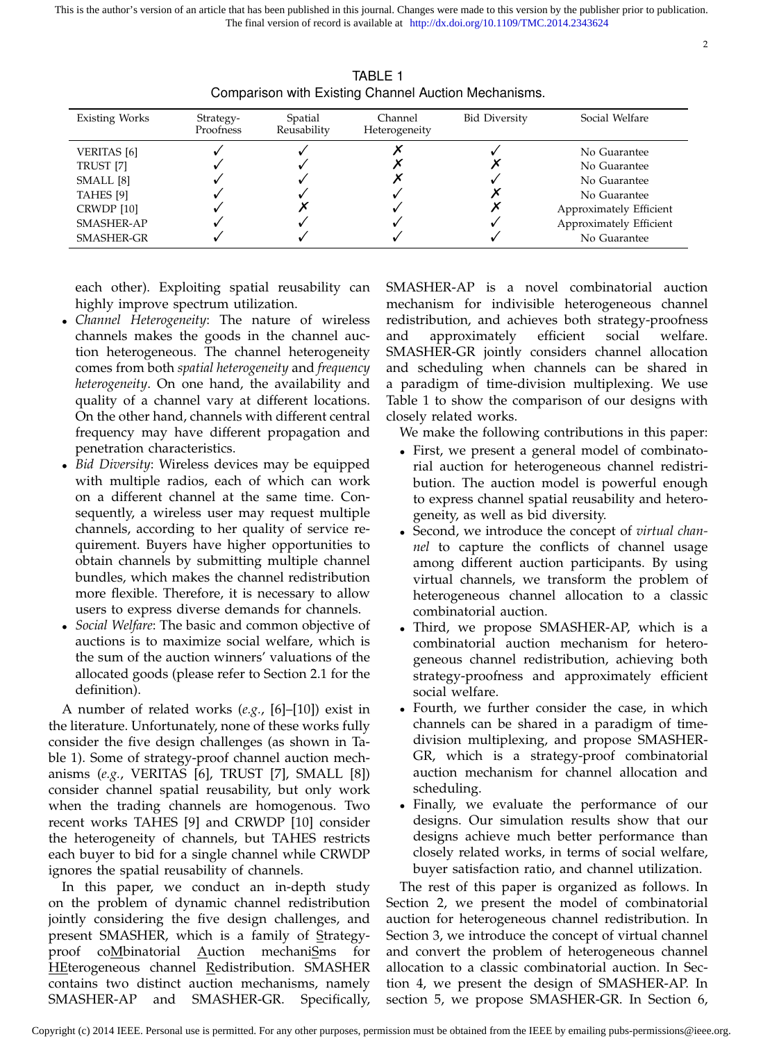This is the author's version of an article that has been published in this journal. Changes were made to this version by the publisher prior to publication. The final version of record is available at http://dx.doi.org/10.1109/TMC.2014.2343624

|   |  | I |
|---|--|---|
| ٠ |  |   |

| <b>Existing Works</b> | Strategy-<br>Proofness | Spatial<br>Reusability | Channel<br>Heterogeneity | <b>Bid Diversity</b> | Social Welfare          |
|-----------------------|------------------------|------------------------|--------------------------|----------------------|-------------------------|
| <b>VERITAS</b> [6]    |                        |                        |                          |                      | No Guarantee            |
| TRUST <sub>[7]</sub>  |                        |                        |                          |                      | No Guarantee            |
| SMALL [8]             |                        |                        |                          |                      | No Guarantee            |
| TAHES <sup>[9]</sup>  |                        |                        |                          |                      | No Guarantee            |
| CRWDP [10]            |                        |                        |                          |                      | Approximately Efficient |
| SMASHER-AP            |                        |                        |                          |                      | Approximately Efficient |
| SMASHER-GR            |                        |                        |                          |                      | No Guarantee            |

TARI F 1 Comparison with Existing Channel Auction Mechanisms.

each other). Exploiting spatial reusability can highly improve spectrum utilization.

- *Channel Heterogeneity*: The nature of wireless channels makes the goods in the channel auction heterogeneous. The channel heterogeneity comes from both *spatial heterogeneity* and *frequency heterogeneity*. On one hand, the availability and quality of a channel vary at different locations. On the other hand, channels with different central frequency may have different propagation and penetration characteristics.
- *Bid Diversity*: Wireless devices may be equipped with multiple radios, each of which can work on a different channel at the same time. Consequently, a wireless user may request multiple channels, according to her quality of service requirement. Buyers have higher opportunities to obtain channels by submitting multiple channel bundles, which makes the channel redistribution more flexible. Therefore, it is necessary to allow users to express diverse demands for channels.
- *Social Welfare*: The basic and common objective of auctions is to maximize social welfare, which is the sum of the auction winners' valuations of the allocated goods (please refer to Section 2.1 for the definition).

A number of related works (*e.g.*, [6]–[10]) exist in the literature. Unfortunately, none of these works fully consider the five design challenges (as shown in Table 1). Some of strategy-proof channel auction mechanisms (*e.g.*, VERITAS [6], TRUST [7], SMALL [8]) consider channel spatial reusability, but only work when the trading channels are homogenous. Two recent works TAHES [9] and CRWDP [10] consider the heterogeneity of channels, but TAHES restricts each buyer to bid for a single channel while CRWDP ignores the spatial reusability of channels.

In this paper, we conduct an in-depth study on the problem of dynamic channel redistribution jointly considering the five design challenges, and present SMASHER, which is a family of Strategyproof co<u>M</u>binatorial <u>A</u>uction mechaniSms for HEterogeneous channel Redistribution. SMASHER contains two distinct auction mechanisms, namely SMASHER-AP and SMASHER-GR. Specifically, SMASHER-AP is a novel combinatorial auction mechanism for indivisible heterogeneous channel redistribution, and achieves both strategy-proofness and approximately efficient social welfare. SMASHER-GR jointly considers channel allocation and scheduling when channels can be shared in a paradigm of time-division multiplexing. We use Table 1 to show the comparison of our designs with closely related works.

We make the following contributions in this paper:

- First, we present a general model of combinatorial auction for heterogeneous channel redistribution. The auction model is powerful enough to express channel spatial reusability and heterogeneity, as well as bid diversity.
- Second, we introduce the concept of *virtual channel* to capture the conflicts of channel usage among different auction participants. By using virtual channels, we transform the problem of heterogeneous channel allocation to a classic combinatorial auction.
- Third, we propose SMASHER-AP, which is a combinatorial auction mechanism for heterogeneous channel redistribution, achieving both strategy-proofness and approximately efficient social welfare.
- Fourth, we further consider the case, in which channels can be shared in a paradigm of timedivision multiplexing, and propose SMASHER-GR, which is a strategy-proof combinatorial auction mechanism for channel allocation and scheduling.
- Finally, we evaluate the performance of our designs. Our simulation results show that our designs achieve much better performance than closely related works, in terms of social welfare, buyer satisfaction ratio, and channel utilization.

The rest of this paper is organized as follows. In Section 2, we present the model of combinatorial auction for heterogeneous channel redistribution. In Section 3, we introduce the concept of virtual channel and convert the problem of heterogeneous channel allocation to a classic combinatorial auction. In Section 4, we present the design of SMASHER-AP. In section 5, we propose SMASHER-GR. In Section 6,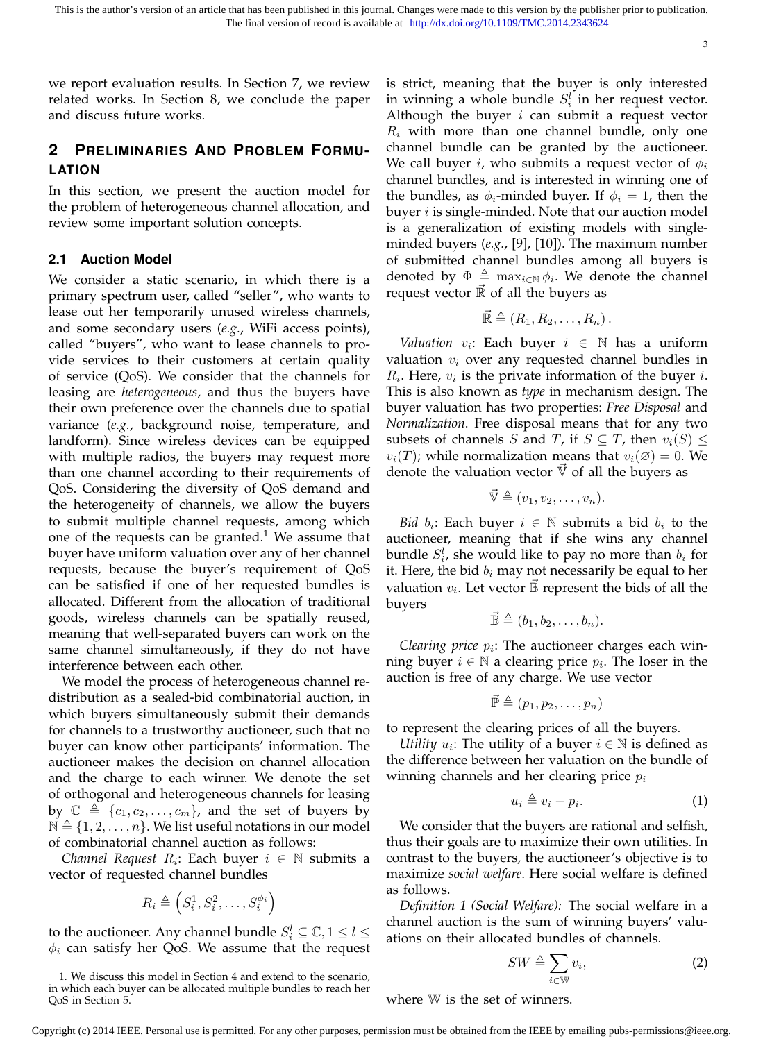we report evaluation results. In Section 7, we review related works. In Section 8, we conclude the paper and discuss future works.

# **2 PRELIMINARIES AND PROBLEM FORMU-LATION**

In this section, we present the auction model for the problem of heterogeneous channel allocation, and review some important solution concepts.

## **2.1 Auction Model**

We consider a static scenario, in which there is a primary spectrum user, called "seller", who wants to lease out her temporarily unused wireless channels, and some secondary users (*e.g.*, WiFi access points), called "buyers", who want to lease channels to provide services to their customers at certain quality of service (QoS). We consider that the channels for leasing are *heterogeneous*, and thus the buyers have their own preference over the channels due to spatial variance (*e.g.*, background noise, temperature, and landform). Since wireless devices can be equipped with multiple radios, the buyers may request more than one channel according to their requirements of QoS. Considering the diversity of QoS demand and the heterogeneity of channels, we allow the buyers to submit multiple channel requests, among which one of the requests can be granted.<sup>1</sup> We assume that buyer have uniform valuation over any of her channel requests, because the buyer's requirement of QoS can be satisfied if one of her requested bundles is allocated. Different from the allocation of traditional goods, wireless channels can be spatially reused, meaning that well-separated buyers can work on the same channel simultaneously, if they do not have interference between each other.

We model the process of heterogeneous channel redistribution as a sealed-bid combinatorial auction, in which buyers simultaneously submit their demands for channels to a trustworthy auctioneer, such that no buyer can know other participants' information. The auctioneer makes the decision on channel allocation and the charge to each winner. We denote the set of orthogonal and heterogeneous channels for leasing by  $\mathbb{C} \triangleq \{c_1, c_2, \ldots, c_m\}$ , and the set of buyers by  $\mathbb{N} \triangleq \{1, 2, \ldots, n\}.$  We list useful notations in our model of combinatorial channel auction as follows:

*Channel Request R<sub>i</sub>*: Each buyer  $i \in \mathbb{N}$  submits a vector of requested channel bundles

$$
R_i \triangleq \left(S_i^1, S_i^2, \dots, S_i^{\phi_i}\right)
$$

to the auctioneer. Any channel bundle  $S_i^l \subseteq \mathbb{C}, 1 \leq l \leq l$  $\phi_i$  can satisfy her QoS. We assume that the request is strict, meaning that the buyer is only interested in winning a whole bundle  $S_i^l$  in her request vector. Although the buyer  $i$  can submit a request vector  $R_i$  with more than one channel bundle, only one channel bundle can be granted by the auctioneer. We call buyer *i*, who submits a request vector of  $\phi_i$ channel bundles, and is interested in winning one of the bundles, as  $\phi_i$ -minded buyer. If  $\phi_i = 1$ , then the buyer  $i$  is single-minded. Note that our auction model is a generalization of existing models with singleminded buyers (*e.g.*, [9], [10]). The maximum number of submitted channel bundles among all buyers is denoted by  $\Phi \triangleq \max_{i \in \mathbb{N}} \phi_i$ . We denote the channel request vector  $\mathbb{\overline{R}}$  of all the buyers as

$$
\vec{\mathbb{R}} \triangleq (R_1, R_2, \ldots, R_n).
$$

*Valuation*  $v_i$ : Each buyer  $i \in \mathbb{N}$  has a uniform valuation  $v_i$  over any requested channel bundles in  $R_i$ . Here,  $v_i$  is the private information of the buyer *i*. This is also known as *type* in mechanism design. The buyer valuation has two properties: *Free Disposal* and *Normalization*. Free disposal means that for any two subsets of channels S and T, if  $S \subseteq T$ , then  $v_i(S) \leq$  $v_i(T)$ ; while normalization means that  $v_i(\emptyset) = 0$ . We denote the valuation vector  $\vec{V}$  of all the buyers as

$$
\vec{\mathbb{V}} \triangleq (v_1, v_2, \dots, v_n).
$$

*Bid*  $b_i$ : Each buyer  $i \in \mathbb{N}$  submits a bid  $b_i$  to the auctioneer, meaning that if she wins any channel bundle  $S_i^l$ , she would like to pay no more than  $b_i$  for it. Here, the bid  $b_i$  may not necessarily be equal to her valuation  $v_i$ . Let vector  $\vec{\mathbb{B}}$  represent the bids of all the buyers

$$
\vec{\mathbb{B}} \triangleq (b_1, b_2, \ldots, b_n).
$$

*Clearing price*  $p_i$ : The auctioneer charges each winning buyer  $i \in \mathbb{N}$  a clearing price  $p_i$ . The loser in the auction is free of any charge. We use vector

$$
\vec{\mathbb{P}} \triangleq (p_1, p_2, \ldots, p_n)
$$

to represent the clearing prices of all the buyers.

*Utility*  $u_i$ : The utility of a buyer  $i \in \mathbb{N}$  is defined as the difference between her valuation on the bundle of winning channels and her clearing price  $p_i$ 

$$
u_i \triangleq v_i - p_i. \tag{1}
$$

We consider that the buyers are rational and selfish, thus their goals are to maximize their own utilities. In contrast to the buyers, the auctioneer's objective is to maximize *social welfare*. Here social welfare is defined as follows.

*Definition 1 (Social Welfare):* The social welfare in a channel auction is the sum of winning buyers' valuations on their allocated bundles of channels.

$$
SW \triangleq \sum_{i \in \mathbb{W}} v_i,\tag{2}
$$

where W is the set of winners.

<sup>1.</sup> We discuss this model in Section 4 and extend to the scenario, in which each buyer can be allocated multiple bundles to reach her QoS in Section 5.

Copyright (c) 2014 IEEE. Personal use is permitted. For any other purposes, permission must be obtained from the IEEE by emailing pubs-permissions@ieee.org.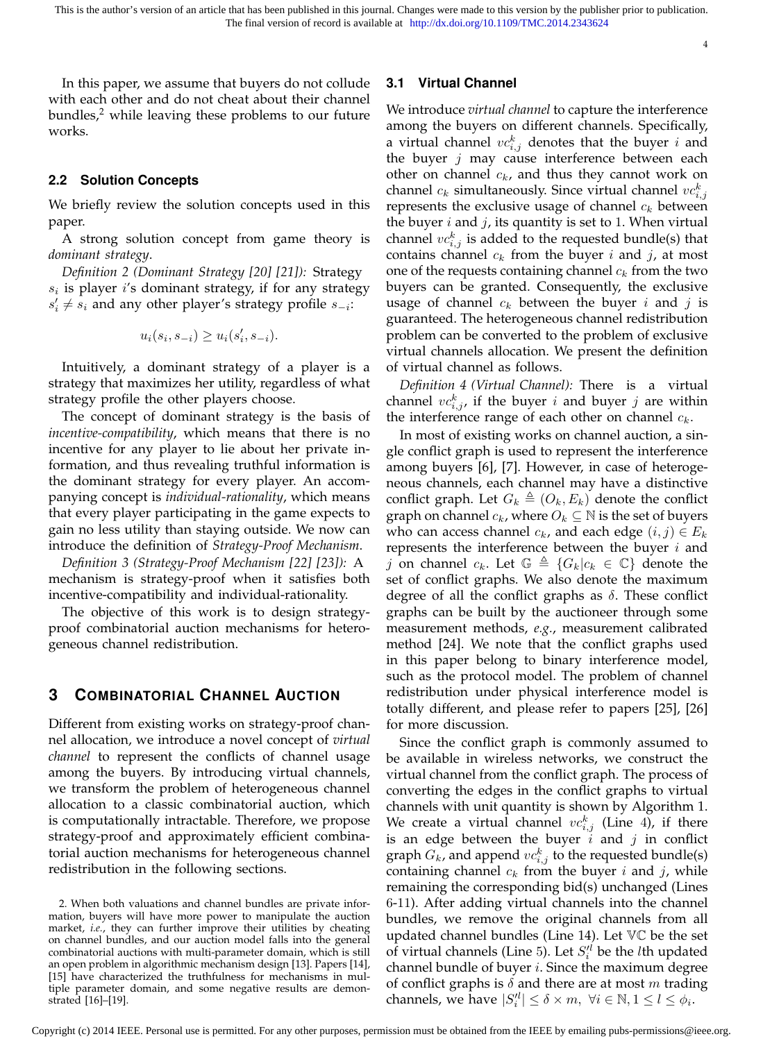In this paper, we assume that buyers do not collude with each other and do not cheat about their channel bundles,<sup>2</sup> while leaving these problems to our future works.

## **2.2 Solution Concepts**

We briefly review the solution concepts used in this paper.

A strong solution concept from game theory is *dominant strategy*.

*Definition 2 (Dominant Strategy [20] [21]):* Strategy  $s_i$  is player i's dominant strategy, if for any strategy  $s_i' \neq s_i$  and any other player's strategy profile  $s_{-i}$ :

$$
u_i(s_i, s_{-i}) \ge u_i(s'_i, s_{-i}).
$$

Intuitively, a dominant strategy of a player is a strategy that maximizes her utility, regardless of what strategy profile the other players choose.

The concept of dominant strategy is the basis of *incentive-compatibility*, which means that there is no incentive for any player to lie about her private information, and thus revealing truthful information is the dominant strategy for every player. An accompanying concept is *individual-rationality*, which means that every player participating in the game expects to gain no less utility than staying outside. We now can introduce the definition of *Strategy-Proof Mechanism*.

*Definition 3 (Strategy-Proof Mechanism [22] [23]):* A mechanism is strategy-proof when it satisfies both incentive-compatibility and individual-rationality.

The objective of this work is to design strategyproof combinatorial auction mechanisms for heterogeneous channel redistribution.

# **3 COMBINATORIAL CHANNEL AUCTION**

Different from existing works on strategy-proof channel allocation, we introduce a novel concept of *virtual channel* to represent the conflicts of channel usage among the buyers. By introducing virtual channels, we transform the problem of heterogeneous channel allocation to a classic combinatorial auction, which is computationally intractable. Therefore, we propose strategy-proof and approximately efficient combinatorial auction mechanisms for heterogeneous channel redistribution in the following sections.

## **3.1 Virtual Channel**

We introduce *virtual channel* to capture the interference among the buyers on different channels. Specifically, a virtual channel  $vc_{i,j}^k$  denotes that the buyer i and the buyer  $j$  may cause interference between each other on channel  $c_k$ , and thus they cannot work on channel  $c_k$  simultaneously. Since virtual channel  $vc_{i,j}^k$ represents the exclusive usage of channel  $c_k$  between the buyer  $i$  and  $j$ , its quantity is set to 1. When virtual channel  $vc_{i,j}^k$  is added to the requested bundle(s) that contains channel  $c_k$  from the buyer i and j, at most one of the requests containing channel  $c_k$  from the two buyers can be granted. Consequently, the exclusive usage of channel  $c_k$  between the buyer i and j is guaranteed. The heterogeneous channel redistribution problem can be converted to the problem of exclusive virtual channels allocation. We present the definition of virtual channel as follows.

*Definition 4 (Virtual Channel):* There is a virtual channel  $vc_{i,j}^k$ , if the buyer i and buyer j are within the interference range of each other on channel  $c_k$ .

In most of existing works on channel auction, a single conflict graph is used to represent the interference among buyers [6], [7]. However, in case of heterogeneous channels, each channel may have a distinctive conflict graph. Let  $G_k \triangleq (O_k, E_k)$  denote the conflict graph on channel  $c_k$ , where  $O_k \subseteq \mathbb{N}$  is the set of buyers who can access channel  $c_k$ , and each edge  $(i, j) \in E_k$ represents the interference between the buyer  $i$  and j on channel  $c_k$ . Let  $\mathbb{G} \triangleq \{G_k | c_k \in \mathbb{C}\}\$  denote the set of conflict graphs. We also denote the maximum degree of all the conflict graphs as  $\delta$ . These conflict graphs can be built by the auctioneer through some measurement methods, *e.g.*, measurement calibrated method [24]. We note that the conflict graphs used in this paper belong to binary interference model, such as the protocol model. The problem of channel redistribution under physical interference model is totally different, and please refer to papers [25], [26] for more discussion.

Since the conflict graph is commonly assumed to be available in wireless networks, we construct the virtual channel from the conflict graph. The process of converting the edges in the conflict graphs to virtual channels with unit quantity is shown by Algorithm 1. We create a virtual channel  $vc_{i,j}^k$  (Line 4), if there is an edge between the buyer  $i$  and  $j$  in conflict graph  $G_k$ , and append  $vc_{i,j}^k$  to the requested bundle(s) containing channel  $c_k$  from the buyer i and j, while remaining the corresponding bid(s) unchanged (Lines 6-11). After adding virtual channels into the channel bundles, we remove the original channels from all updated channel bundles (Line 14). Let VC be the set of virtual channels (Line 5). Let  $S_i^{\prime l}$  be the *l*th updated channel bundle of buyer  $i$ . Since the maximum degree of conflict graphs is  $\delta$  and there are at most m trading channels, we have  $|S_i^n| \leq \delta \times m$ ,  $\forall i \in \mathbb{N}, 1 \leq l \leq \phi_i$ .

<sup>2.</sup> When both valuations and channel bundles are private information, buyers will have more power to manipulate the auction market, *i.e.*, they can further improve their utilities by cheating on channel bundles, and our auction model falls into the general combinatorial auctions with multi-parameter domain, which is still an open problem in algorithmic mechanism design [13]. Papers [14], [15] have characterized the truthfulness for mechanisms in multiple parameter domain, and some negative results are demonstrated [16]–[19].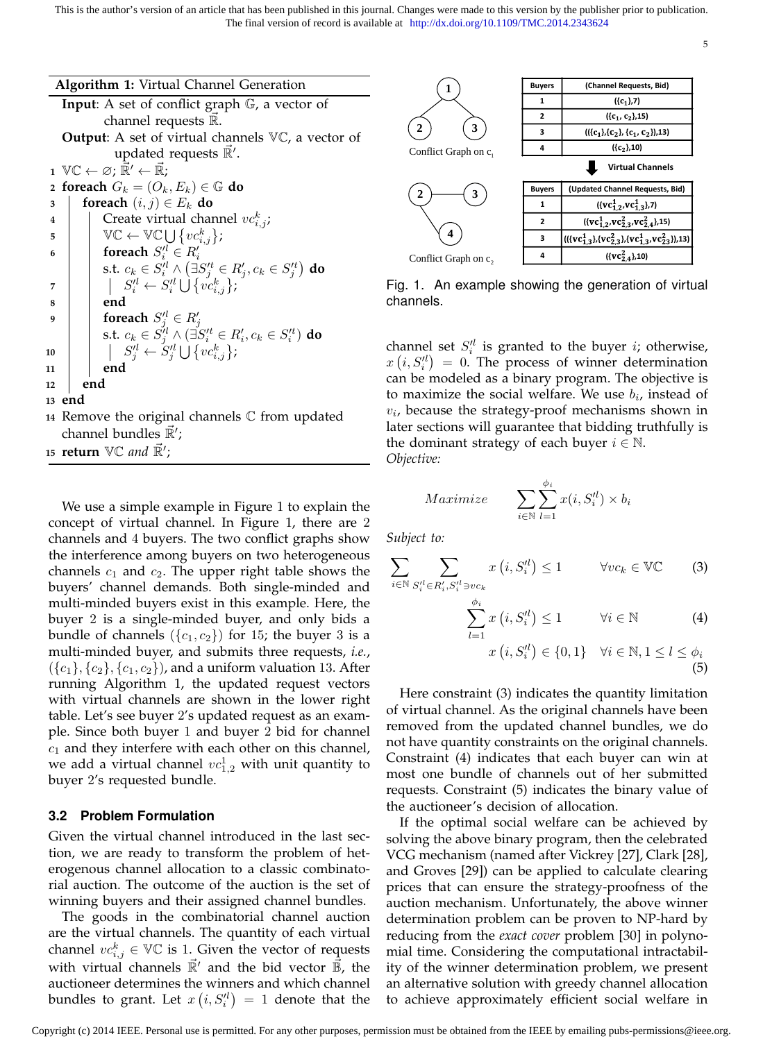| Algorithm 1: Virtual Channel Generation                                                                   |
|-----------------------------------------------------------------------------------------------------------|
| Input: A set of conflict graph G, a vector of                                                             |
| channel requests $\mathbb{R}$ .                                                                           |
| <b>Output:</b> A set of virtual channels $\mathbb{V}\mathbb{C}$ , a vector of                             |
| updated requests $\mathbb{R}'$ .                                                                          |
| $1 \nabla \mathbb{C} \leftarrow \varnothing; \mathbb{R}' \leftarrow \mathbb{R};$                          |
| foreach $G_k = (O_k, E_k) \in \mathbb{G}$ do<br>$\overline{2}$                                            |
| foreach $(i, j) \in E_k$ do<br>3                                                                          |
| Create virtual channel $vc_{i,j}^k$ ;<br>4                                                                |
| $\mathbb{VC} \leftarrow \mathbb{VC} \bigcup \{vc_{i,j}^k\};$<br>5                                         |
| foreach $S_i^{\prime l} \in R_i^{\prime}$<br>6                                                            |
| s.t. $c_k \in S_i'^l \wedge (\exists S_i'^t \in R_i', c_k \in S_i'^t)$ do                                 |
| $\left  S_i^{\prime l} \leftarrow S_i^{\prime l} \bigcup \{ v c_{i,i}^k \}$<br>7                          |
| end<br>8                                                                                                  |
| foreach $S_i^{\prime l} \in R_i^{\prime}$<br>9                                                            |
| s.t. $c_k \in S_i^{\prime l} \wedge (\exists S_i^{\prime t} \in R_i^{\prime}, c_k \in S_i^{\prime t})$ do |
| $\left\{S_i^{\prime l} \leftarrow S_i^{\prime l} \cup \{vc_{i,j}^k\}\right\}$<br>10                       |
| end<br>11                                                                                                 |
| end<br>12                                                                                                 |
| 13 end                                                                                                    |
| $14$ Remove the original channels $\mathbb C$ from updated                                                |
| channel bundles $\mathbb{R}'$ ;                                                                           |
| 15 return $\mathbb{VC}$ and $\mathbb{\vec{R}'}$ ;                                                         |
|                                                                                                           |

We use a simple example in Figure 1 to explain the concept of virtual channel. In Figure 1, there are 2 channels and 4 buyers. The two conflict graphs show the interference among buyers on two heterogeneous channels  $c_1$  and  $c_2$ . The upper right table shows the buyers' channel demands. Both single-minded and multi-minded buyers exist in this example. Here, the buyer 2 is a single-minded buyer, and only bids a bundle of channels  $({c_1, c_2})$  for 15; the buyer 3 is a multi-minded buyer, and submits three requests, *i.e.*,  $({c_1}, {c_2}, {c_1}, {c_2})$ , and a uniform valuation 13. After running Algorithm 1, the updated request vectors with virtual channels are shown in the lower right table. Let's see buyer 2's updated request as an example. Since both buyer 1 and buyer 2 bid for channel  $c_1$  and they interfere with each other on this channel, we add a virtual channel  $\overline{vc^1_{1,2}}$  with unit quantity to buyer 2's requested bundle.

## **3.2 Problem Formulation**

Given the virtual channel introduced in the last section, we are ready to transform the problem of heterogenous channel allocation to a classic combinatorial auction. The outcome of the auction is the set of winning buyers and their assigned channel bundles.

The goods in the combinatorial channel auction are the virtual channels. The quantity of each virtual channel  $vc_{i,j}^k \in \mathbb{VC}$  is 1. Given the vector of requests with virtual channels  $\mathbb{R}^{\prime}$  and the bid vector  $\mathbb{B}$ , the auctioneer determines the winners and which channel bundles to grant. Let  $x(i, S_i'') = 1$  denote that the



Fig. 1. An example showing the generation of virtual channels.

channel set  $S_i^{\prime l}$  is granted to the buyer *i*; otherwise,  $x(i, S_i^{\prime l}) = 0$ . The process of winner determination can be modeled as a binary program. The objective is to maximize the social welfare. We use  $b_i$ , instead of  $v_i$ , because the strategy-proof mechanisms shown in later sections will guarantee that bidding truthfully is the dominant strategy of each buyer  $i \in \mathbb{N}$ . *Objective:*

$$
Maximize \qquad \sum_{i \in \mathbb{N}} \sum_{l=1}^{\phi_i} x(i, S_i^{\prime l}) \times b_i
$$

*Subject to:*

$$
\sum_{i \in \mathbb{N}} \sum_{S_i' \in R_i', S_i'^l \ni vc_k} x(i, S_i'^l) \le 1 \qquad \forall vc_k \in \mathbb{VC} \tag{3}
$$

$$
\sum_{l=1}^{\phi_i} x(i, S_i'^l) \le 1 \qquad \forall i \in \mathbb{N} \tag{4}
$$

$$
x(i, S_i'^l) \in \{0, 1\} \quad \forall i \in \mathbb{N}, 1 \le l \le \phi_i
$$

$$
:(i, S_i'^l) \in \{0, 1\} \quad \forall i \in \mathbb{N}, 1 \le l \le \phi_i
$$
\n
$$
(5)
$$

Here constraint (3) indicates the quantity limitation of virtual channel. As the original channels have been removed from the updated channel bundles, we do not have quantity constraints on the original channels. Constraint (4) indicates that each buyer can win at most one bundle of channels out of her submitted requests. Constraint (5) indicates the binary value of the auctioneer's decision of allocation.

If the optimal social welfare can be achieved by solving the above binary program, then the celebrated VCG mechanism (named after Vickrey [27], Clark [28], and Groves [29]) can be applied to calculate clearing prices that can ensure the strategy-proofness of the auction mechanism. Unfortunately, the above winner determination problem can be proven to NP-hard by reducing from the *exact cover* problem [30] in polynomial time. Considering the computational intractability of the winner determination problem, we present an alternative solution with greedy channel allocation to achieve approximately efficient social welfare in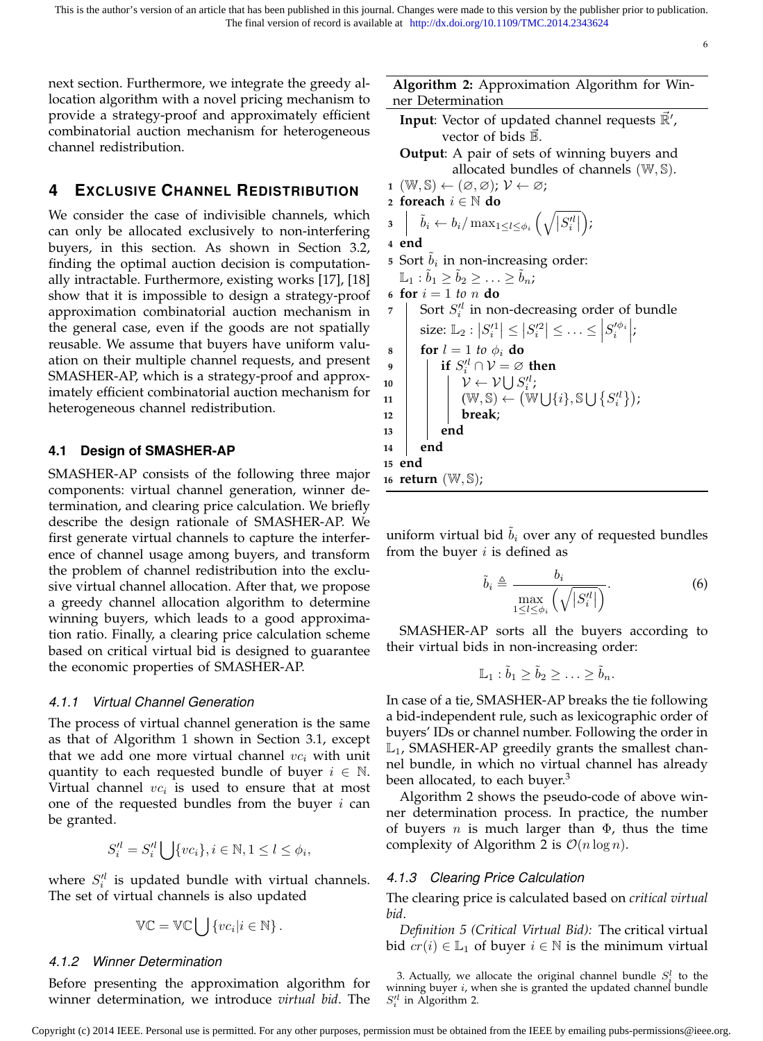next section. Furthermore, we integrate the greedy allocation algorithm with a novel pricing mechanism to provide a strategy-proof and approximately efficient combinatorial auction mechanism for heterogeneous channel redistribution.

# **4 EXCLUSIVE CHANNEL REDISTRIBUTION**

We consider the case of indivisible channels, which can only be allocated exclusively to non-interfering buyers, in this section. As shown in Section 3.2, finding the optimal auction decision is computationally intractable. Furthermore, existing works [17], [18] show that it is impossible to design a strategy-proof approximation combinatorial auction mechanism in the general case, even if the goods are not spatially reusable. We assume that buyers have uniform valuation on their multiple channel requests, and present SMASHER-AP, which is a strategy-proof and approximately efficient combinatorial auction mechanism for heterogeneous channel redistribution.

## **4.1 Design of SMASHER-AP**

SMASHER-AP consists of the following three major components: virtual channel generation, winner determination, and clearing price calculation. We briefly describe the design rationale of SMASHER-AP. We first generate virtual channels to capture the interference of channel usage among buyers, and transform the problem of channel redistribution into the exclusive virtual channel allocation. After that, we propose a greedy channel allocation algorithm to determine winning buyers, which leads to a good approximation ratio. Finally, a clearing price calculation scheme based on critical virtual bid is designed to guarantee the economic properties of SMASHER-AP.

## *4.1.1 Virtual Channel Generation*

The process of virtual channel generation is the same as that of Algorithm 1 shown in Section 3.1, except that we add one more virtual channel  $vc_i$  with unit quantity to each requested bundle of buyer  $i \in \mathbb{N}$ . Virtual channel  $vc_i$  is used to ensure that at most one of the requested bundles from the buyer  $i$  can be granted.

$$
S_i'^l = S_i'^l \bigcup \{vc_i\}, i \in \mathbb{N}, 1 \leq l \leq \phi_i,
$$

where  $S_i^{\prime l}$  is updated bundle with virtual channels. The set of virtual channels is also updated

$$
\mathbb{VC} = \mathbb{VC} \bigcup \{vc_i|i \in \mathbb{N}\}.
$$

## *4.1.2 Winner Determination*

Before presenting the approximation algorithm for winner determination, we introduce *virtual bid*. The **Algorithm 2:** Approximation Algorithm for Winner Determination

**Input**: Vector of updated channel requests  $\vec{\mathbb{R}}'$ , vector of bids  $\mathbb{B}$ .

**Output**: A pair of sets of winning buyers and allocated bundles of channels  $(W, \mathbb{S})$ .

**1**  $(\mathbb{W}, \mathbb{S}) \leftarrow (\emptyset, \emptyset); \mathcal{V} \leftarrow \emptyset;$ **<sup>2</sup> foreach** i ∈ N **do 3**  $\tilde{b}_i \leftarrow b_i / \max_{1 \leq l \leq \phi_i} \left( \sqrt{|S_i'^l|} \right)$  $\big).$ **4 end** 5 Sort  $\tilde{b}_i$  in non-increasing order:  $\mathbb{L}_1 : \tilde{b}_1 \geq \tilde{b}_2 \geq \ldots \geq \tilde{b}_n;$ **6 for**  $i = 1$  *to*  $n$  **do**  $\sigma$  | Sort  $S_i''$  in non-decreasing order of bundle  $\text{size: } \mathbb{L}_2: \left|S'^{1}_i\right| \leq \left|S'^{2}_i\right| \leq \ldots \leq \left|S'^{\phi_i}_i\right|;$ **8 for**  $l = 1$  *to*  $\phi_i$  **do 9**  $\begin{array}{|c} \hline \end{array}$  if  $S_i'^l \cap \mathcal{V} = \varnothing$  then  ${\mathfrak v} \begin{array}{c|c} \rule{0pt}{17pt} \rule{1pt}{14pt} \rule{0pt}{14pt} \rule{0pt}{14pt} \rule{0pt}{14pt} \rule{0pt}{14pt} \rule{0pt}{14pt} \rule{0pt}{14pt} \rule{0pt}{14pt} \rule{0pt}{14pt} \rule{0pt}{14pt} \rule{0pt}{14pt} \rule{0pt}{14pt} \rule{0pt}{14pt} \rule{0pt}{14pt} \rule{0pt}{14pt} \rule{0pt}{14pt} \rule{0pt}{14pt} \rule{0pt}{14pt} \rule{0pt}{14pt} \rule{0pt$  $\begin{array}{|c|c|c|}\hline \textbf{11} &|&|&(\mathbb{W},\mathbb{S}) \leftarrow (\mathbb{W}\bigcup \{i\},\mathbb{S}\bigcup \left\{S^{\prime l}_{i}\right\}) ;\ \hline \end{array}$ **<sup>12</sup> break**; **<sup>13</sup> end <sup>14</sup> end <sup>15</sup> end <sup>16</sup> return** (W, S);

uniform virtual bid  $b_i$  over any of requested bundles from the buyer  $i$  is defined as

$$
\tilde{b}_i \triangleq \frac{b_i}{\max_{1 \le l \le \phi_i} \left(\sqrt{|S_i^{l}|}\right)}.
$$
\n(6)

SMASHER-AP sorts all the buyers according to their virtual bids in non-increasing order:

$$
\mathbb{L}_1 : \tilde{b}_1 \ge \tilde{b}_2 \ge \ldots \ge \tilde{b}_n.
$$

In case of a tie, SMASHER-AP breaks the tie following a bid-independent rule, such as lexicographic order of buyers' IDs or channel number. Following the order in  $\mathbb{L}_1$ , SMASHER-AP greedily grants the smallest channel bundle, in which no virtual channel has already been allocated, to each buyer.<sup>3</sup>

Algorithm 2 shows the pseudo-code of above winner determination process. In practice, the number of buyers *n* is much larger than  $\Phi$ , thus the time complexity of Algorithm 2 is  $\mathcal{O}(n \log n)$ .

## *4.1.3 Clearing Price Calculation*

The clearing price is calculated based on *critical virtual bid*.

*Definition 5 (Critical Virtual Bid):* The critical virtual bid  $cr(i) \in \mathbb{L}_1$  of buyer  $i \in \mathbb{N}$  is the minimum virtual

3. Actually, we allocate the original channel bundle  $S_i^l$  to the winning buyer  $i$ , when she is granted the updated channel bundle  $S_i^{\prime l}$  in Algorithm 2.

Copyright (c) 2014 IEEE. Personal use is permitted. For any other purposes, permission must be obtained from the IEEE by emailing pubs-permissions@ieee.org.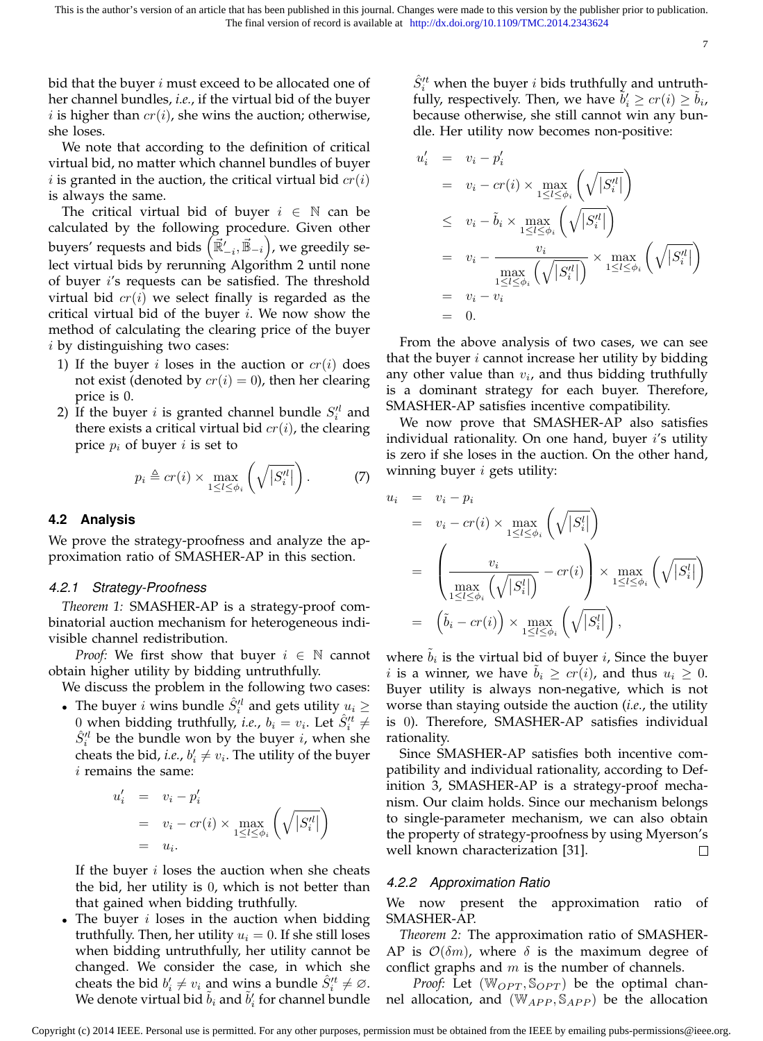bid that the buyer  $i$  must exceed to be allocated one of her channel bundles, *i.e.*, if the virtual bid of the buyer *i* is higher than  $cr(i)$ , she wins the auction; otherwise, she loses.

We note that according to the definition of critical virtual bid, no matter which channel bundles of buyer i is granted in the auction, the critical virtual bid  $cr(i)$ is always the same.

The critical virtual bid of buyer  $i \in \mathbb{N}$  can be calculated by the following procedure. Given other buyers' requests and bids  $\left(\vec{\mathbb{R}}_{-i}^{\prime},\vec{\mathbb{B}}_{-i}\right)$ , we greedily select virtual bids by rerunning Algorithm 2 until none of buyer i's requests can be satisfied. The threshold virtual bid  $cr(i)$  we select finally is regarded as the critical virtual bid of the buyer  $i$ . We now show the method of calculating the clearing price of the buyer i by distinguishing two cases:

- 1) If the buyer *i* loses in the auction or  $cr(i)$  does not exist (denoted by  $cr(i) = 0$ ), then her clearing price is 0.
- 2) If the buyer *i* is granted channel bundle  $S_i^{\prime l}$  and there exists a critical virtual bid  $cr(i)$ , the clearing price  $p_i$  of buyer i is set to

$$
p_i \triangleq cr(i) \times \max_{1 \leq l \leq \phi_i} \left( \sqrt{|S_i''|} \right). \tag{7}
$$

#### **4.2 Analysis**

We prove the strategy-proofness and analyze the approximation ratio of SMASHER-AP in this section.

#### *4.2.1 Strategy-Proofness*

*Theorem 1:* SMASHER-AP is a strategy-proof combinatorial auction mechanism for heterogeneous indivisible channel redistribution.

*Proof:* We first show that buyer  $i \in \mathbb{N}$  cannot obtain higher utility by bidding untruthfully.

We discuss the problem in the following two cases:

• The buyer *i* wins bundle  $\hat{S}_i^{\prime l}$  and gets utility  $u_i \geq$ 0 when bidding truthfully, *i.e.*,  $b_i = v_i$ . Let  $\hat{S}_i^{\prime t} \neq$  $\hat{S}_i^{\prime l}$  be the bundle won by the buyer *i*, when she cheats the bid, *i.e.*,  $b'_i \neq v_i$ . The utility of the buyer i remains the same:

$$
u'_{i} = v_{i} - p'_{i}
$$
  
=  $v_{i} - cr(i) \times \max_{1 \leq l \leq \phi_{i}} \left( \sqrt{|S_{i}^{l}|} \right)$   
=  $u_{i}$ .

If the buyer  $i$  loses the auction when she cheats the bid, her utility is 0, which is not better than that gained when bidding truthfully.

• The buyer  $i$  loses in the auction when bidding truthfully. Then, her utility  $u_i = 0$ . If she still loses when bidding untruthfully, her utility cannot be changed. We consider the case, in which she cheats the bid  $b'_i \neq v_i$  and wins a bundle  $\hat{S}'^t_i \neq \emptyset$ . We denote virtual bid  $\tilde{b}_i$  and  $\tilde{b}'_i$  for channel bundle

 $\hat{S}^{\prime t}_{i}$  when the buyer i bids truthfully and untruthfully, respectively. Then, we have  $\tilde{b}'_i \geq cr(i) \geq \tilde{b}_i$ , because otherwise, she still cannot win any bundle. Her utility now becomes non-positive:

$$
u'_{i} = v_{i} - p'_{i}
$$
  
\n
$$
= v_{i} - cr(i) \times \max_{1 \leq l \leq \phi_{i}} \left(\sqrt{|S_{i}^{\prime l}|}\right)
$$
  
\n
$$
\leq v_{i} - \tilde{b}_{i} \times \max_{1 \leq l \leq \phi_{i}} \left(\sqrt{|S_{i}^{\prime l}|}\right)
$$
  
\n
$$
= v_{i} - \frac{v_{i}}{\max_{1 \leq l \leq \phi_{i}} \left(\sqrt{|S_{i}^{\prime l}|}\right)} \times \max_{1 \leq l \leq \phi_{i}} \left(\sqrt{|S_{i}^{\prime l}|}\right)
$$
  
\n
$$
= v_{i} - v_{i}
$$
  
\n
$$
= 0.
$$

From the above analysis of two cases, we can see that the buyer  $i$  cannot increase her utility by bidding any other value than  $v_i$ , and thus bidding truthfully is a dominant strategy for each buyer. Therefore, SMASHER-AP satisfies incentive compatibility.

We now prove that SMASHER-AP also satisfies individual rationality. On one hand, buyer  $i$ 's utility is zero if she loses in the auction. On the other hand, winning buyer  $i$  gets utility:

$$
u_i = v_i - p_i
$$
  
\n
$$
= v_i - cr(i) \times \max_{1 \le l \le \phi_i} \left( \sqrt{|S_i^l|} \right)
$$
  
\n
$$
= \left( \frac{v_i}{\max_{1 \le l \le \phi_i} \left( \sqrt{|S_i^l|} \right)} - cr(i) \right) \times \max_{1 \le l \le \phi_i} \left( \sqrt{|S_i^l|} \right)
$$
  
\n
$$
= \left( \tilde{b}_i - cr(i) \right) \times \max_{1 \le l \le \phi_i} \left( \sqrt{|S_i^l|} \right),
$$

where  $\tilde{b}_i$  is the virtual bid of buyer *i*, Since the buyer *i* is a winner, we have  $b_i \geq cr(i)$ , and thus  $u_i \geq 0$ . Buyer utility is always non-negative, which is not worse than staying outside the auction (*i.e.*, the utility is 0). Therefore, SMASHER-AP satisfies individual rationality.

Since SMASHER-AP satisfies both incentive compatibility and individual rationality, according to Definition 3, SMASHER-AP is a strategy-proof mechanism. Our claim holds. Since our mechanism belongs to single-parameter mechanism, we can also obtain the property of strategy-proofness by using Myerson's well known characterization [31].  $\Box$ 

#### *4.2.2 Approximation Ratio*

We now present the approximation ratio of SMASHER-AP.

*Theorem 2:* The approximation ratio of SMASHER-AP is  $\mathcal{O}(\delta m)$ , where  $\delta$  is the maximum degree of conflict graphs and  $m$  is the number of channels.

*Proof:* Let  $(\mathbb{W}_{OPT}, \mathbb{S}_{OPT})$  be the optimal channel allocation, and  $(W_{APP}, S_{APP})$  be the allocation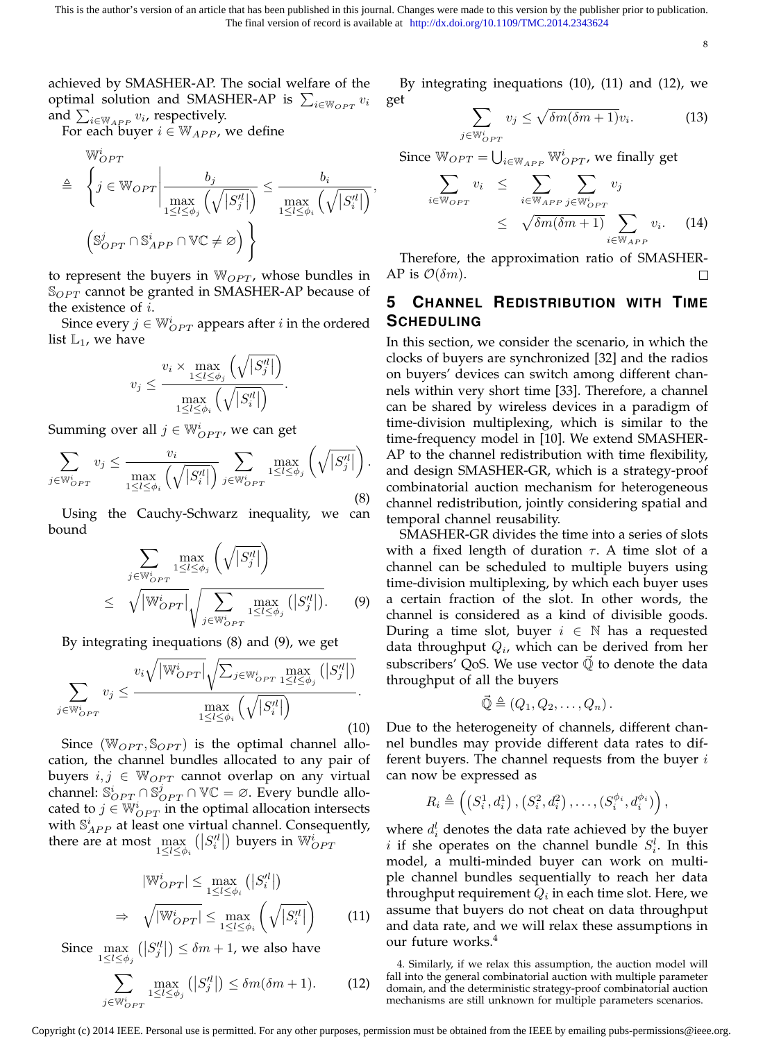achieved by SMASHER-AP. The social welfare of the optimal solution and SMASHER-AP is  $\sum_{i \in W_{OPT}} v_i$ and  $\sum_{i\in\mathbb{W}_{APP}} v_i$ , respectively.

For each buyer  $i \in \mathbb{W}_{APP}$ , we define

$$
\begin{aligned}\n&\stackrel{\mathbb{W}_{OPT}^i}{\triangleq} \left\{ j \in \mathbb{W}_{OPT} \middle| \frac{b_j}{\max\limits_{1 \leq l \leq \phi_j} \left( \sqrt{|S_j^l|} \right)} \leq \frac{b_i}{\max\limits_{1 \leq l \leq \phi_i} \left( \sqrt{|S_i^l|} \right)}, \\
&\left( \mathbb{S}_{OPT}^j \cap \mathbb{S}_{APP}^i \cap \mathbb{VC} \neq \varnothing \right) \right\}\n\end{aligned}
$$

to represent the buyers in  $W_{OPT}$ , whose bundles in  $S_{OPT}$  cannot be granted in SMASHER-AP because of the existence of i.

Since every  $j \in \mathbb{W}_{OPT}^i$  appears after  $i$  in the ordered list  $\mathbb{L}_1$ , we have

$$
v_j \le \frac{v_i \times \max\limits_{1 \le l \le \phi_j} \left(\sqrt{|S''_j|}\right)}{\max\limits_{1 \le l \le \phi_i} \left(\sqrt{|S''_l|}\right)}.
$$

Summing over all  $j \in \mathbb{W}_{OPT}^i$ , we can get

$$
\sum_{j \in \mathbb{W}_{OPT}^i} v_j \le \frac{v_i}{\max_{1 \le l \le \phi_i} \left(\sqrt{|S_i''|}\right)} \sum_{j \in \mathbb{W}_{OPT}^i} \max_{1 \le l \le \phi_j} \left(\sqrt{|S_j''|}\right).
$$
\n
$$
(8)
$$

Using the Cauchy-Schwarz inequality, we can bound

$$
\sum_{j \in \mathbb{W}_{OPT}^i} \max_{1 \leq l \leq \phi_j} \left( \sqrt{|S_j^{\prime l}|} \right)
$$
\n
$$
\leq \sqrt{|\mathbb{W}_{OPT}^i|} \sqrt{\sum_{j \in \mathbb{W}_{OPT}^i} \max_{1 \leq l \leq \phi_j} (|S_j^{\prime l}|)}.
$$
\n(9)

By integrating inequations (8) and (9), we get

$$
\sum_{j \in \mathbb{W}_{OPT}^i} v_j \le \frac{v_i \sqrt{|\mathbb{W}_{OPT}^i|} \sqrt{\sum_{j \in \mathbb{W}_{OPT}^i} \max_{1 \le l \le \phi_j} (|S_j''|)}}{\max_{1 \le l \le \phi_i} (\sqrt{|S_i''|})}.
$$
\n(10)

Since ( $W_{OPT}$ ,  $S_{OPT}$ ) is the optimal channel allocation, the channel bundles allocated to any pair of buyers  $i, j \in \mathbb{W}_{OPT}$  cannot overlap on any virtual channel:  $\mathbb{S}_{OPT}^i \cap \mathbb{S}_{OPT}^j \cap \mathbb{VC} = \varnothing$ . Every bundle allocated to  $j \in \mathbb{W}_{OPT}^i$  in the optimal allocation intersects with  $\mathbb{S}_{APP}^i$  at least one virtual channel. Consequently, there are at most  $\max_{1 \leq l \leq \phi_i} (|S_i^{\prime l}|)$  buyers in  $\mathbb{W}_{OPT}^i$ 

$$
|\mathbb{W}_{OPT}^i| \le \max_{1 \le l \le \phi_i} (|S_i'^l|)
$$
  
\n
$$
\Rightarrow \sqrt{|\mathbb{W}_{OPT}^i|} \le \max_{1 \le l \le \phi_i} (\sqrt{|S_i'^l|})
$$
 (11)

Since  $\max\limits_{1\leq l\leq\phi_{j}}\left(\left|S_{j}^{_{l}}\right|\right)\leq\delta m+1$ , we also have

$$
\sum_{j \in \mathbb{W}_{OPT}^i} \max_{1 \le l \le \phi_j} (|S_j''|) \le \delta m(\delta m + 1). \tag{12}
$$

By integrating inequations (10), (11) and (12), we get

$$
\sum_{j \in \mathbb{W}_{OPT}^i} v_j \le \sqrt{\delta m (\delta m + 1)} v_i.
$$
 (13)

Since  $\mathbb{W}_{OPT} = \bigcup_{i \in \mathbb{W}_{APP}} \mathbb{W}_{OPT}^i$ , we finally get

$$
\sum_{i \in \mathbb{W}_{OPT}} v_i \leq \sum_{i \in \mathbb{W}_{APP}} \sum_{j \in \mathbb{W}_{OPT}^i} v_j
$$
\n
$$
\leq \sqrt{\delta m (\delta m + 1)} \sum_{i \in \mathbb{W}_{APP}} v_i.
$$
\n(14)

Therefore, the approximation ratio of SMASHER-AP is  $\mathcal{O}(\delta m)$ .  $\Box$ 

## **5 CHANNEL REDISTRIBUTION WITH TIME SCHEDULING**

In this section, we consider the scenario, in which the clocks of buyers are synchronized [32] and the radios on buyers' devices can switch among different channels within very short time [33]. Therefore, a channel can be shared by wireless devices in a paradigm of time-division multiplexing, which is similar to the time-frequency model in [10]. We extend SMASHER-AP to the channel redistribution with time flexibility, and design SMASHER-GR, which is a strategy-proof combinatorial auction mechanism for heterogeneous channel redistribution, jointly considering spatial and temporal channel reusability.

SMASHER-GR divides the time into a series of slots with a fixed length of duration  $\tau$ . A time slot of a channel can be scheduled to multiple buyers using time-division multiplexing, by which each buyer uses a certain fraction of the slot. In other words, the channel is considered as a kind of divisible goods. During a time slot, buyer  $i \in \mathbb{N}$  has a requested data throughput  $Q_i$ , which can be derived from her subscribers' QoS. We use vector  $\vec{Q}$  to denote the data throughput of all the buyers

$$
\vec{Q} \triangleq (Q_1, Q_2, \ldots, Q_n).
$$

Due to the heterogeneity of channels, different channel bundles may provide different data rates to different buyers. The channel requests from the buyer  $i$ can now be expressed as

$$
R_i \triangleq \left( \left( S_i^1, d_i^1 \right), \left( S_i^2, d_i^2 \right), \ldots, \left( S_i^{\phi_i}, d_i^{\phi_i} \right) \right),
$$

where  $d_i^l$  denotes the data rate achieved by the buyer i if she operates on the channel bundle  $S_i^l$ . In this model, a multi-minded buyer can work on multiple channel bundles sequentially to reach her data throughput requirement  $Q_i$  in each time slot. Here, we assume that buyers do not cheat on data throughput and data rate, and we will relax these assumptions in our future works.<sup>4</sup>

4. Similarly, if we relax this assumption, the auction model will fall into the general combinatorial auction with multiple parameter domain, and the deterministic strategy-proof combinatorial auction mechanisms are still unknown for multiple parameters scenarios.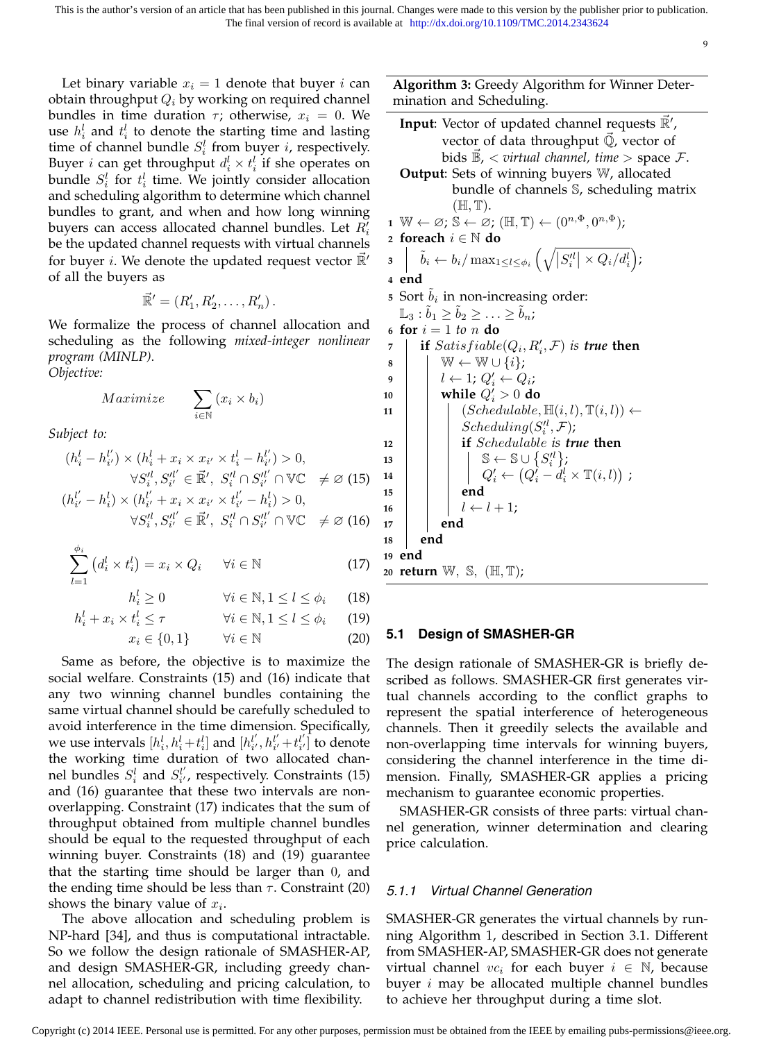Let binary variable  $x_i = 1$  denote that buyer *i* can obtain throughput  $Q_i$  by working on required channel bundles in time duration  $\tau$ ; otherwise,  $x_i = 0$ . We use  $h_i^l$  and  $t_i^l$  to denote the starting time and lasting time of channel bundle  $S_i^l$  from buyer *i*, respectively. Buyer *i* can get throughput  $d_i^l \times t_i^l$  if she operates on bundle  $S_i^l$  for  $t_i^l$  time. We jointly consider allocation and scheduling algorithm to determine which channel bundles to grant, and when and how long winning buyers can access allocated channel bundles. Let  $R_i^{'}$ be the updated channel requests with virtual channels for buyer *i*. We denote the updated request vector  $\mathbb{R}^7$ of all the buyers as

$$
\vec{\mathbb{R}}' = (R'_1, R'_2, \dots, R'_n).
$$

We formalize the process of channel allocation and scheduling as the following *mixed-integer nonlinear program (MINLP)*. *Objective:*

> $Maximize \quad \sum$ i∈N  $(x_i \times b_i)$

*Subject to:*

$$
(h_i^l - h_{i'}^{l'}) \times (h_i^l + x_i \times x_{i'} \times t_i^l - h_{i'}^{l'}) > 0,
$$
  
\n
$$
\forall S_i^{l}, S_{i'}^{l'} \in \mathbb{R}', S_i^{l} \cap S_{i'}^{l'} \cap \mathbb{VC} \neq \varnothing
$$
 (15)  
\n
$$
(h_{i'}^{l'} - h_i^l) \times (h_{i'}^{l'} + x_i \times x_{i'} \times t_{i'}^{l'} - h_i^l) > 0,
$$

$$
l_{i'}^{l'} - h_i^l) \times (h_{i'}^{l'} + x_i \times x_{i'} \times t_{i'}^{l'} - h_i^l) > 0,
$$
  
 
$$
\forall S_i^{l'}, S_{i'}^{l'} \in \mathbb{R}', \ S_i^{l'} \cap S_{i'}^{l'} \cap \mathbb{VC} \neq \varnothing \ (16)
$$

$$
\sum_{l=1}^{\phi_i} \left( d_i^l \times t_i^l \right) = x_i \times Q_i \quad \forall i \in \mathbb{N} \tag{17}
$$

$$
h_i^l \ge 0 \qquad \forall i \in \mathbb{N}, 1 \le l \le \phi_i \qquad (18)
$$
  
\n
$$
h_i^l + x_i \times t_i^l \le \tau \qquad \forall i \in \mathbb{N}, 1 \le l \le \phi_i \qquad (19)
$$
  
\n
$$
x_i \in \{0, 1\} \qquad \forall i \in \mathbb{N} \qquad (20)
$$

Same as before, the objective is to maximize the social welfare. Constraints (15) and (16) indicate that any two winning channel bundles containing the same virtual channel should be carefully scheduled to avoid interference in the time dimension. Specifically, we use intervals  $[h_i^l, h_i^l + t_i^l]$  and  $[h_{i'}^{l'}, h_{i'}^{l'} + t_{i'}^{l'}]$  to denote the working time duration of two allocated channel bundles  $S_i^l$  and  $S_{i'}^{l'}$ , respectively. Constraints (15) and (16) guarantee that these two intervals are nonoverlapping. Constraint (17) indicates that the sum of throughput obtained from multiple channel bundles should be equal to the requested throughput of each winning buyer. Constraints (18) and (19) guarantee that the starting time should be larger than 0, and the ending time should be less than  $\tau$ . Constraint (20) shows the binary value of  $x_i$ .

The above allocation and scheduling problem is NP-hard [34], and thus is computational intractable. So we follow the design rationale of SMASHER-AP, and design SMASHER-GR, including greedy channel allocation, scheduling and pricing calculation, to adapt to channel redistribution with time flexibility.

**Algorithm 3:** Greedy Algorithm for Winner Determination and Scheduling.

9

**Input**: Vector of updated channel requests  $\vec{\mathbb{R}}'$ , vector of data throughput  $\mathbb Q$ , vector of bids  $\mathbb{B}$ ,  $\lt$  *virtual channel, time*  $>$  space  $\mathcal{F}$ . **Output**: Sets of winning buyers W, allocated bundle of channels S, scheduling matrix  $(H, T).$  $\mathbf{1} \ \ \mathbb{W} \leftarrow \varnothing; \ \mathbb{\hat{S}} \leftarrow \varnothing; \ (\mathbb{H}, \mathbb{T}) \leftarrow (0^{n, \Phi}, 0^{n, \Phi});$ **<sup>2</sup> foreach** i ∈ N **do 3**  $\tilde{b}_i \leftarrow b_i / \max_{1 \leq l \leq \phi_i} \left( \sqrt{|S_i''| \times Q_i / d_i^l} \right);$ **4 end** 5 Sort  $\tilde{b}_i$  in non-increasing order:  $\mathbb{L}_3 : \tilde{b}_1 \geq \tilde{b}_2 \geq \ldots \geq \tilde{b}_n;$ **6 for**  $i = 1$  **to**  $n$  **do** *7*  $\vert$  **if**  $Satisfiable(Q_i, R'_i, \mathcal{F})$  *is true* then **8**  $\vert \quad \vert \quad \mathbb{W} \leftarrow \mathbb{W} \cup \{i\};$  $\hspace{.1cm}9 \hspace{.2cm} \vert \hspace{.2cm} \vert \hspace{.2cm} l \leftarrow 1; \hspace{.05cm} Q_i' \leftarrow Q_i;$  $\blacksquare$  **while**  $Q'_i > 0$  do **11**  $\qquad \qquad | \qquad (Scheduling, \mathbb{H}(i, l), \mathbb{T}(i, l)) \leftarrow$  $Scheduling(S_i'', \mathcal{F});$ **<sup>12</sup> if** Schedulable *is true* **then**  $\begin{array}{|c|c|c|c|}\hline \textbf{13} & & \end{array} \begin{array}{|c|c|c|c|}\hline \textbf{14} & & \textbf{15} & \textbf{16} & \textbf{18} & \textbf{18} & \textbf{18} & \textbf{18} & \textbf{18} & \textbf{18} & \textbf{18} & \textbf{18} & \textbf{18} & \textbf{18} & \textbf{18} & \textbf{18} & \textbf{18} & \textbf{18} & \textbf{18} & \textbf{18} & \textbf{18} & \textbf{18} & \textbf$  $\begin{array}{|c|c|c|c|}\hline \textbf{14} & & \quad\quad & \quad\quad & Q'_i \leftarrow \left(Q_i^{\prime}-\widehat{d}_i^{l} \times \mathbb{T}(i,l)\right) \, ; \ \hline \end{array}$ **<sup>15</sup> end**  $16$  | |  $l \leftarrow l + 1;$ **<sup>17</sup> end <sup>18</sup> end <sup>19</sup> end <sup>20</sup> return** W, S, (H, T);

#### **5.1 Design of SMASHER-GR**

The design rationale of SMASHER-GR is briefly described as follows. SMASHER-GR first generates virtual channels according to the conflict graphs to represent the spatial interference of heterogeneous channels. Then it greedily selects the available and non-overlapping time intervals for winning buyers, considering the channel interference in the time dimension. Finally, SMASHER-GR applies a pricing mechanism to guarantee economic properties.

SMASHER-GR consists of three parts: virtual channel generation, winner determination and clearing price calculation.

#### *5.1.1 Virtual Channel Generation*

SMASHER-GR generates the virtual channels by running Algorithm 1, described in Section 3.1. Different from SMASHER-AP, SMASHER-GR does not generate virtual channel  $vc_i$  for each buyer  $i \in \mathbb{N}$ , because buyer  $i$  may be allocated multiple channel bundles to achieve her throughput during a time slot.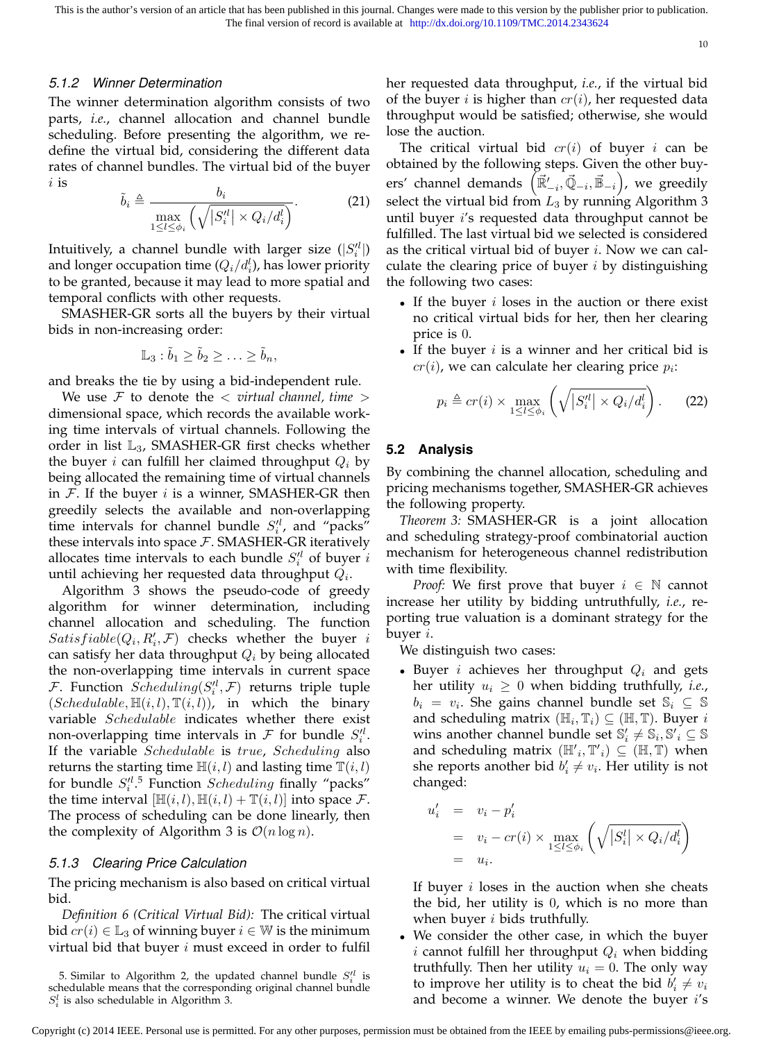## *5.1.2 Winner Determination*

The winner determination algorithm consists of two parts, *i.e.*, channel allocation and channel bundle scheduling. Before presenting the algorithm, we redefine the virtual bid, considering the different data rates of channel bundles. The virtual bid of the buyer i is

$$
\tilde{b}_i \triangleq \frac{b_i}{\max_{1 \le l \le \phi_i} \left( \sqrt{|S_i^{l}| \times Q_i / d_i^l} \right)}.
$$
\n(21)

Intuitively, a channel bundle with larger size  $(|S^{\prime l}_i|)$ and longer occupation time  $(Q_i/d_i^l)$ , has lower priority to be granted, because it may lead to more spatial and temporal conflicts with other requests.

SMASHER-GR sorts all the buyers by their virtual bids in non-increasing order:

$$
\mathbb{L}_3 : \tilde{b}_1 \ge \tilde{b}_2 \ge \ldots \ge \tilde{b}_n,
$$

and breaks the tie by using a bid-independent rule.

We use  $F$  to denote the  $\langle$  *virtual channel, time*  $\rangle$ dimensional space, which records the available working time intervals of virtual channels. Following the order in list  $\mathbb{L}_3$ , SMASHER-GR first checks whether the buyer *i* can fulfill her claimed throughput  $Q_i$  by being allocated the remaining time of virtual channels in  $F$ . If the buyer  $i$  is a winner, SMASHER-GR then greedily selects the available and non-overlapping time intervals for channel bundle  $S_i^{\prime l}$ , and "packs" these intervals into space  $F$ . SMASHER-GR iteratively allocates time intervals to each bundle  $S_i^{\prime l}$  of buyer  $i$ until achieving her requested data throughput  $Q_i.$ 

Algorithm 3 shows the pseudo-code of greedy algorithm for winner determination, including channel allocation and scheduling. The function  $Satisfiable(Q_i, R'_i, \mathcal{F})$  checks whether the buyer is can satisfy her data throughput  $Q_i$  by being allocated the non-overlapping time intervals in current space  ${\mathcal F}.$  Function  $\tilde{Scheduling}(S_i^{\prime l},{\mathcal F})$  returns triple tuple  $(Scheduling, \mathbb{H}(i, l), \mathbb{T}(i, l))$ , in which the binary variable Schedulable indicates whether there exist non-overlapping time intervals in  $\mathcal F$  for bundle  $S_i^n$ . If the variable Schedulable is true, Scheduling also returns the starting time  $\mathbb{H}(i, l)$  and lasting time  $\mathbb{T}(i, l)$ for bundle  $S_i^{l1.5}$  Function  $Scheduling$  finally "packs" the time interval  $[\mathbb{H}(i, l), \mathbb{H}(i, l) + \mathbb{T}(i, l)]$  into space  $\mathcal{F}$ . The process of scheduling can be done linearly, then the complexity of Algorithm 3 is  $\mathcal{O}(n \log n)$ .

## *5.1.3 Clearing Price Calculation*

The pricing mechanism is also based on critical virtual bid.

*Definition 6 (Critical Virtual Bid):* The critical virtual bid  $cr(i) \in \mathbb{L}_3$  of winning buyer  $i \in \mathbb{W}$  is the minimum virtual bid that buyer  $i$  must exceed in order to fulfil

5. Similar to Algorithm 2, the updated channel bundle  $S_i^{\prime l}$  is schedulable means that the corresponding original channel bundle  $S_i^l$  is also schedulable in Algorithm 3.

her requested data throughput, *i.e.*, if the virtual bid of the buyer *i* is higher than  $cr(i)$ , her requested data throughput would be satisfied; otherwise, she would lose the auction.

The critical virtual bid  $cr(i)$  of buyer i can be obtained by the following steps. Given the other buyers' channel demands  $\left(\vec{\mathbb{R}}'_{-i},\vec{\mathbb{Q}}_{-i},\vec{\mathbb{B}}_{-i}\right)$ , we greedily select the virtual bid from  $L_3$  by running Algorithm 3 until buyer i's requested data throughput cannot be fulfilled. The last virtual bid we selected is considered as the critical virtual bid of buyer  $i$ . Now we can calculate the clearing price of buyer  $i$  by distinguishing the following two cases:

- If the buyer  $i$  loses in the auction or there exist no critical virtual bids for her, then her clearing price is 0.
- If the buyer  $i$  is a winner and her critical bid is  $cr(i)$ , we can calculate her clearing price  $p_i$ :

$$
p_i \triangleq cr(i) \times \max_{1 \leq l \leq \phi_i} \left( \sqrt{|S_i^{l}| \times Q_i / d_i^l} \right). \tag{22}
$$

#### **5.2 Analysis**

By combining the channel allocation, scheduling and pricing mechanisms together, SMASHER-GR achieves the following property.

*Theorem 3:* SMASHER-GR is a joint allocation and scheduling strategy-proof combinatorial auction mechanism for heterogeneous channel redistribution with time flexibility.

*Proof:* We first prove that buyer  $i \in \mathbb{N}$  cannot increase her utility by bidding untruthfully, *i.e.*, reporting true valuation is a dominant strategy for the buyer i.

We distinguish two cases:

• Buyer *i* achieves her throughput  $Q_i$  and gets her utility  $u_i \geq 0$  when bidding truthfully, *i.e.*,  $b_i = v_i$ . She gains channel bundle set  $\mathbb{S}_i \subseteq \mathbb{S}$ and scheduling matrix  $(\mathbb{H}_i, \mathbb{T}_i) \subseteq (\mathbb{H}, \mathbb{T})$ . Buyer i wins another channel bundle set  $\mathbb{S}'_i \neq \mathbb{S}_i, \mathbb{S}'_i \subseteq \mathbb{S}$ and scheduling matrix  $(\mathbb{H}'_i, \mathbb{T}'_i) \subseteq (\mathbb{H}, \mathbb{T})$  when she reports another bid  $b'_i \neq v_i$ . Her utility is not changed:

$$
u'_{i} = v_{i} - p'_{i}
$$
  
=  $v_{i} - cr(i) \times \max_{1 \leq l \leq \phi_{i}} \left( \sqrt{|S_{i}^{l}| \times Q_{i}/d_{i}^{l}} \right)$   
=  $u_{i}$ .

If buyer  $i$  loses in the auction when she cheats the bid, her utility is 0, which is no more than when buyer  $i$  bids truthfully.

• We consider the other case, in which the buyer *i* cannot fulfill her throughput  $Q_i$  when bidding truthfully. Then her utility  $u_i = 0$ . The only way to improve her utility is to cheat the bid  $b'_i \neq v_i$ and become a winner. We denote the buyer  $i$ 's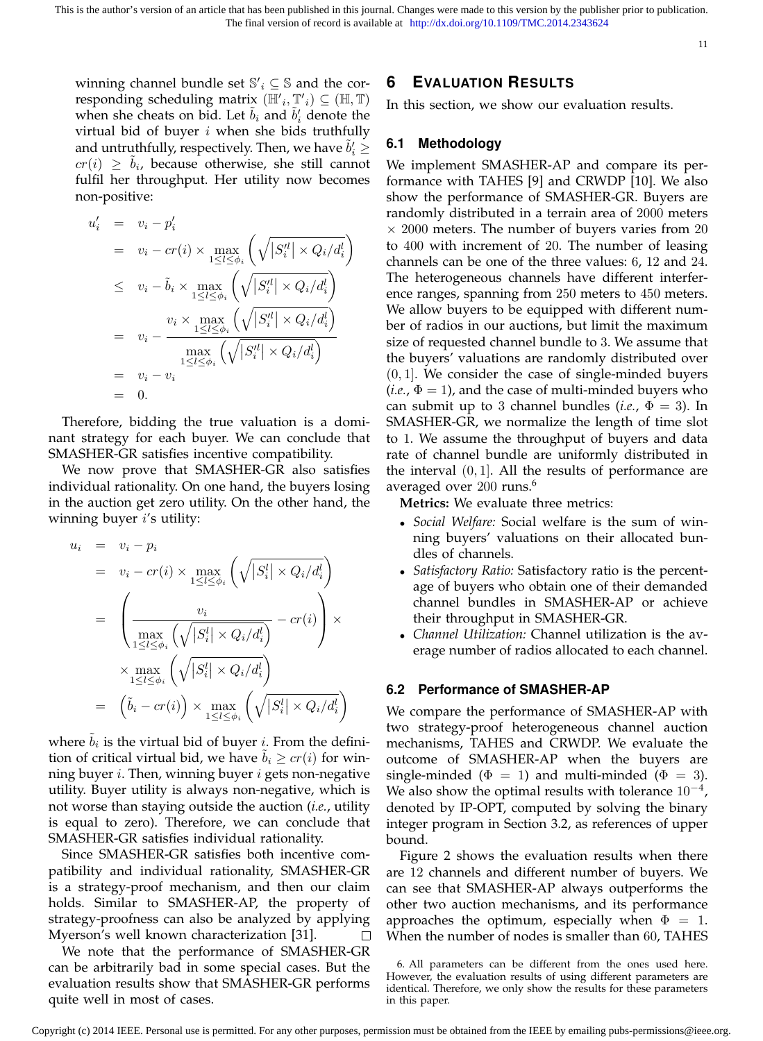winning channel bundle set  $\mathbb{S}'_i \subseteq \mathbb{S}$  and the corresponding scheduling matrix  $(\mathbb{H'}_i, \mathbb{T'}_i) \subseteq (\mathbb{H}, \mathbb{T})$ when she cheats on bid. Let  $\tilde{b}_i$  and  $\tilde{b}'_i$  denote the virtual bid of buyer  $i$  when she bids truthfully and untruthfully, respectively. Then, we have  $\tilde{b}'_i \geq$  $cr(i) \geq \tilde{b}_i$ , because otherwise, she still cannot fulfil her throughput. Her utility now becomes non-positive:

$$
u'_{i} = v_{i} - p'_{i}
$$
  
\n
$$
= v_{i} - cr(i) \times \max_{1 \leq l \leq \phi_{i}} \left( \sqrt{|S_{i}^{"}| \times Q_{i}/d_{i}^{l}} \right)
$$
  
\n
$$
\leq v_{i} - \tilde{b}_{i} \times \max_{1 \leq l \leq \phi_{i}} \left( \sqrt{|S_{i}^{"}| \times Q_{i}/d_{i}^{l}} \right)
$$
  
\n
$$
= v_{i} - \frac{v_{i} \times \max_{1 \leq l \leq \phi_{i}} \left( \sqrt{|S_{i}^{"}| \times Q_{i}/d_{i}^{l}} \right)}{\max_{1 \leq l \leq \phi_{i}} \left( \sqrt{|S_{i}^{"}| \times Q_{i}/d_{i}^{l}} \right)}
$$
  
\n
$$
= v_{i} - v_{i}
$$
  
\n
$$
= 0.
$$

Therefore, bidding the true valuation is a dominant strategy for each buyer. We can conclude that SMASHER-GR satisfies incentive compatibility.

We now prove that SMASHER-GR also satisfies individual rationality. On one hand, the buyers losing in the auction get zero utility. On the other hand, the winning buyer i's utility:

$$
u_i = v_i - p_i
$$
  
\n
$$
= v_i - cr(i) \times \max_{1 \le l \le \phi_i} \left( \sqrt{|S_i^l| \times Q_i / d_i^l} \right)
$$
  
\n
$$
= \left( \frac{v_i}{\max_{1 \le l \le \phi_i} \left( \sqrt{|S_i^l| \times Q_i / d_i^l} \right)} - cr(i) \right) \times
$$
  
\n
$$
\times \max_{1 \le l \le \phi_i} \left( \sqrt{|S_i^l| \times Q_i / d_i^l} \right)
$$
  
\n
$$
= \left( \tilde{b}_i - cr(i) \right) \times \max_{1 \le l \le \phi_i} \left( \sqrt{|S_i^l| \times Q_i / d_i^l} \right)
$$

where  $\tilde{b}_i$  is the virtual bid of buyer *i*. From the definition of critical virtual bid, we have  $b_i \geq cr(i)$  for winning buyer  $i$ . Then, winning buyer  $i$  gets non-negative utility. Buyer utility is always non-negative, which is not worse than staying outside the auction (*i.e.*, utility is equal to zero). Therefore, we can conclude that SMASHER-GR satisfies individual rationality.

Since SMASHER-GR satisfies both incentive compatibility and individual rationality, SMASHER-GR is a strategy-proof mechanism, and then our claim holds. Similar to SMASHER-AP, the property of strategy-proofness can also be analyzed by applying Myerson's well known characterization [31].  $\Box$ 

We note that the performance of SMASHER-GR can be arbitrarily bad in some special cases. But the evaluation results show that SMASHER-GR performs quite well in most of cases.

## **6 EVALUATION RESULTS**

In this section, we show our evaluation results.

#### **6.1 Methodology**

We implement SMASHER-AP and compare its performance with TAHES [9] and CRWDP [10]. We also show the performance of SMASHER-GR. Buyers are randomly distributed in a terrain area of 2000 meters  $\times$  2000 meters. The number of buyers varies from 20 to 400 with increment of 20. The number of leasing channels can be one of the three values: 6, 12 and 24. The heterogeneous channels have different interference ranges, spanning from 250 meters to 450 meters. We allow buyers to be equipped with different number of radios in our auctions, but limit the maximum size of requested channel bundle to 3. We assume that the buyers' valuations are randomly distributed over  $(0, 1]$ . We consider the case of single-minded buyers  $(i.e., \Phi = 1)$ , and the case of multi-minded buyers who can submit up to 3 channel bundles (*i.e.*,  $\Phi = 3$ ). In SMASHER-GR, we normalize the length of time slot to 1. We assume the throughput of buyers and data rate of channel bundle are uniformly distributed in the interval  $(0, 1]$ . All the results of performance are averaged over 200 runs.<sup>6</sup>

**Metrics:** We evaluate three metrics:

- *Social Welfare:* Social welfare is the sum of winning buyers' valuations on their allocated bundles of channels.
- *Satisfactory Ratio:* Satisfactory ratio is the percentage of buyers who obtain one of their demanded channel bundles in SMASHER-AP or achieve their throughput in SMASHER-GR.
- *Channel Utilization:* Channel utilization is the average number of radios allocated to each channel.

#### **6.2 Performance of SMASHER-AP**

We compare the performance of SMASHER-AP with two strategy-proof heterogeneous channel auction mechanisms, TAHES and CRWDP. We evaluate the outcome of SMASHER-AP when the buyers are single-minded ( $\Phi = 1$ ) and multi-minded ( $\Phi = 3$ ). We also show the optimal results with tolerance  $10^{-4}$ , denoted by IP-OPT, computed by solving the binary integer program in Section 3.2, as references of upper bound.

Figure 2 shows the evaluation results when there are 12 channels and different number of buyers. We can see that SMASHER-AP always outperforms the other two auction mechanisms, and its performance approaches the optimum, especially when  $\Phi = 1$ . When the number of nodes is smaller than 60, TAHES

<sup>6.</sup> All parameters can be different from the ones used here. However, the evaluation results of using different parameters are identical. Therefore, we only show the results for these parameters in this paper.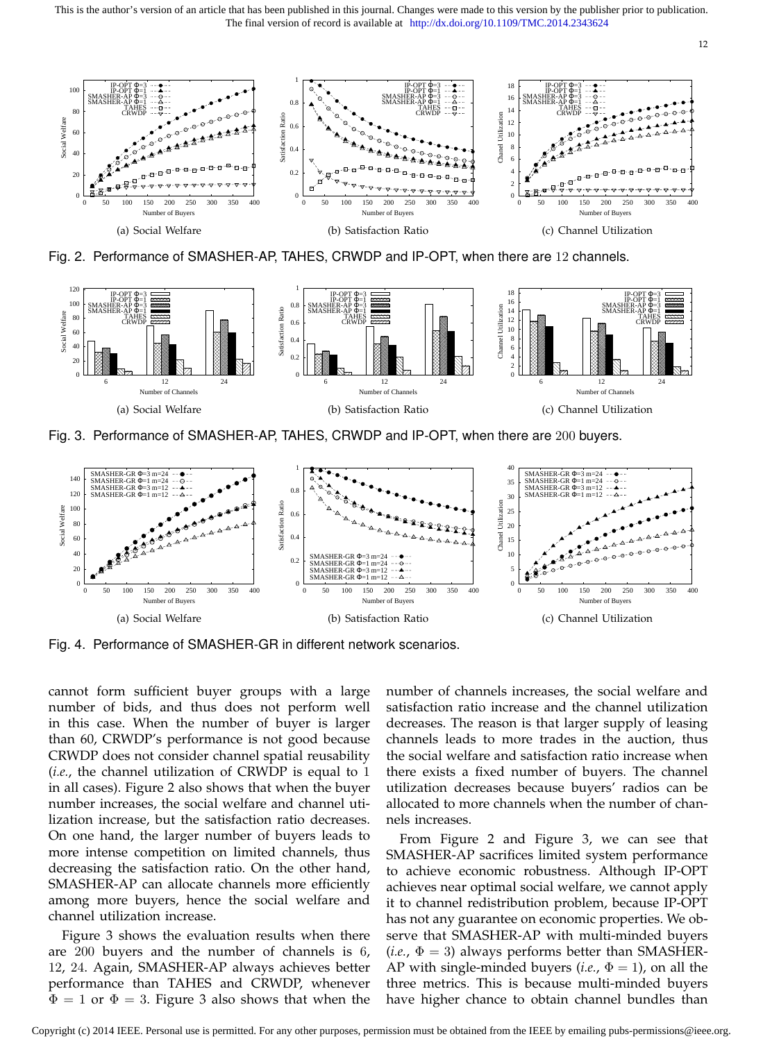This is the author's version of an article that has been published in this journal. Changes were made to this version by the publisher prior to publication. The final version of record is available at http://dx.doi.org/10.1109/TMC.2014.2343624



Fig. 2. Performance of SMASHER-AP, TAHES, CRWDP and IP-OPT, when there are 12 channels.



Fig. 3. Performance of SMASHER-AP, TAHES, CRWDP and IP-OPT, when there are 200 buyers.



Fig. 4. Performance of SMASHER-GR in different network scenarios.

cannot form sufficient buyer groups with a large number of bids, and thus does not perform well in this case. When the number of buyer is larger than 60, CRWDP's performance is not good because CRWDP does not consider channel spatial reusability (*i.e.*, the channel utilization of CRWDP is equal to 1 in all cases). Figure 2 also shows that when the buyer number increases, the social welfare and channel utilization increase, but the satisfaction ratio decreases. On one hand, the larger number of buyers leads to more intense competition on limited channels, thus decreasing the satisfaction ratio. On the other hand, SMASHER-AP can allocate channels more efficiently among more buyers, hence the social welfare and channel utilization increase.

Figure 3 shows the evaluation results when there are 200 buyers and the number of channels is 6, 12, 24. Again, SMASHER-AP always achieves better performance than TAHES and CRWDP, whenever  $\Phi = 1$  or  $\Phi = 3$ . Figure 3 also shows that when the

number of channels increases, the social welfare and satisfaction ratio increase and the channel utilization decreases. The reason is that larger supply of leasing channels leads to more trades in the auction, thus the social welfare and satisfaction ratio increase when there exists a fixed number of buyers. The channel utilization decreases because buyers' radios can be allocated to more channels when the number of channels increases.

12

From Figure 2 and Figure 3, we can see that SMASHER-AP sacrifices limited system performance to achieve economic robustness. Although IP-OPT achieves near optimal social welfare, we cannot apply it to channel redistribution problem, because IP-OPT has not any guarantee on economic properties. We observe that SMASHER-AP with multi-minded buyers (*i.e.*,  $\Phi = 3$ ) always performs better than SMASHER-AP with single-minded buyers (*i.e.*,  $\Phi = 1$ ), on all the three metrics. This is because multi-minded buyers have higher chance to obtain channel bundles than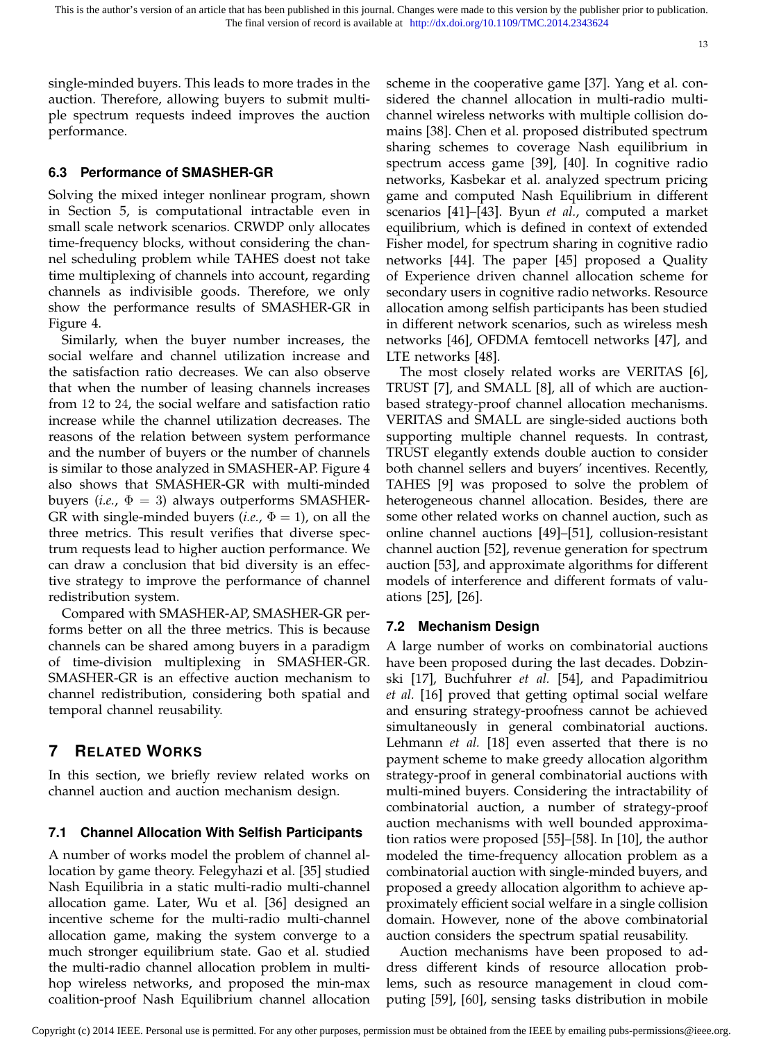single-minded buyers. This leads to more trades in the auction. Therefore, allowing buyers to submit multiple spectrum requests indeed improves the auction performance.

## **6.3 Performance of SMASHER-GR**

Solving the mixed integer nonlinear program, shown in Section 5, is computational intractable even in small scale network scenarios. CRWDP only allocates time-frequency blocks, without considering the channel scheduling problem while TAHES doest not take time multiplexing of channels into account, regarding channels as indivisible goods. Therefore, we only show the performance results of SMASHER-GR in Figure 4.

Similarly, when the buyer number increases, the social welfare and channel utilization increase and the satisfaction ratio decreases. We can also observe that when the number of leasing channels increases from 12 to 24, the social welfare and satisfaction ratio increase while the channel utilization decreases. The reasons of the relation between system performance and the number of buyers or the number of channels is similar to those analyzed in SMASHER-AP. Figure 4 also shows that SMASHER-GR with multi-minded buyers (*i.e.*,  $\Phi = 3$ ) always outperforms SMASHER-GR with single-minded buyers (*i.e.*,  $\Phi = 1$ ), on all the three metrics. This result verifies that diverse spectrum requests lead to higher auction performance. We can draw a conclusion that bid diversity is an effective strategy to improve the performance of channel redistribution system.

Compared with SMASHER-AP, SMASHER-GR performs better on all the three metrics. This is because channels can be shared among buyers in a paradigm of time-division multiplexing in SMASHER-GR. SMASHER-GR is an effective auction mechanism to channel redistribution, considering both spatial and temporal channel reusability.

# **7 RELATED WORKS**

In this section, we briefly review related works on channel auction and auction mechanism design.

# **7.1 Channel Allocation With Selfish Participants**

A number of works model the problem of channel allocation by game theory. Felegyhazi et al. [35] studied Nash Equilibria in a static multi-radio multi-channel allocation game. Later, Wu et al. [36] designed an incentive scheme for the multi-radio multi-channel allocation game, making the system converge to a much stronger equilibrium state. Gao et al. studied the multi-radio channel allocation problem in multihop wireless networks, and proposed the min-max coalition-proof Nash Equilibrium channel allocation

scheme in the cooperative game [37]. Yang et al. considered the channel allocation in multi-radio multichannel wireless networks with multiple collision domains [38]. Chen et al. proposed distributed spectrum sharing schemes to coverage Nash equilibrium in spectrum access game [39], [40]. In cognitive radio networks, Kasbekar et al. analyzed spectrum pricing game and computed Nash Equilibrium in different scenarios [41]–[43]. Byun *et al.*, computed a market equilibrium, which is defined in context of extended Fisher model, for spectrum sharing in cognitive radio networks [44]. The paper [45] proposed a Quality of Experience driven channel allocation scheme for secondary users in cognitive radio networks. Resource allocation among selfish participants has been studied in different network scenarios, such as wireless mesh networks [46], OFDMA femtocell networks [47], and LTE networks [48].

The most closely related works are VERITAS [6], TRUST [7], and SMALL [8], all of which are auctionbased strategy-proof channel allocation mechanisms. VERITAS and SMALL are single-sided auctions both supporting multiple channel requests. In contrast, TRUST elegantly extends double auction to consider both channel sellers and buyers' incentives. Recently, TAHES [9] was proposed to solve the problem of heterogeneous channel allocation. Besides, there are some other related works on channel auction, such as online channel auctions [49]–[51], collusion-resistant channel auction [52], revenue generation for spectrum auction [53], and approximate algorithms for different models of interference and different formats of valuations [25], [26].

# **7.2 Mechanism Design**

A large number of works on combinatorial auctions have been proposed during the last decades. Dobzinski [17], Buchfuhrer *et al.* [54], and Papadimitriou *et al.* [16] proved that getting optimal social welfare and ensuring strategy-proofness cannot be achieved simultaneously in general combinatorial auctions. Lehmann *et al.* [18] even asserted that there is no payment scheme to make greedy allocation algorithm strategy-proof in general combinatorial auctions with multi-mined buyers. Considering the intractability of combinatorial auction, a number of strategy-proof auction mechanisms with well bounded approximation ratios were proposed [55]–[58]. In [10], the author modeled the time-frequency allocation problem as a combinatorial auction with single-minded buyers, and proposed a greedy allocation algorithm to achieve approximately efficient social welfare in a single collision domain. However, none of the above combinatorial auction considers the spectrum spatial reusability.

Auction mechanisms have been proposed to address different kinds of resource allocation problems, such as resource management in cloud computing [59], [60], sensing tasks distribution in mobile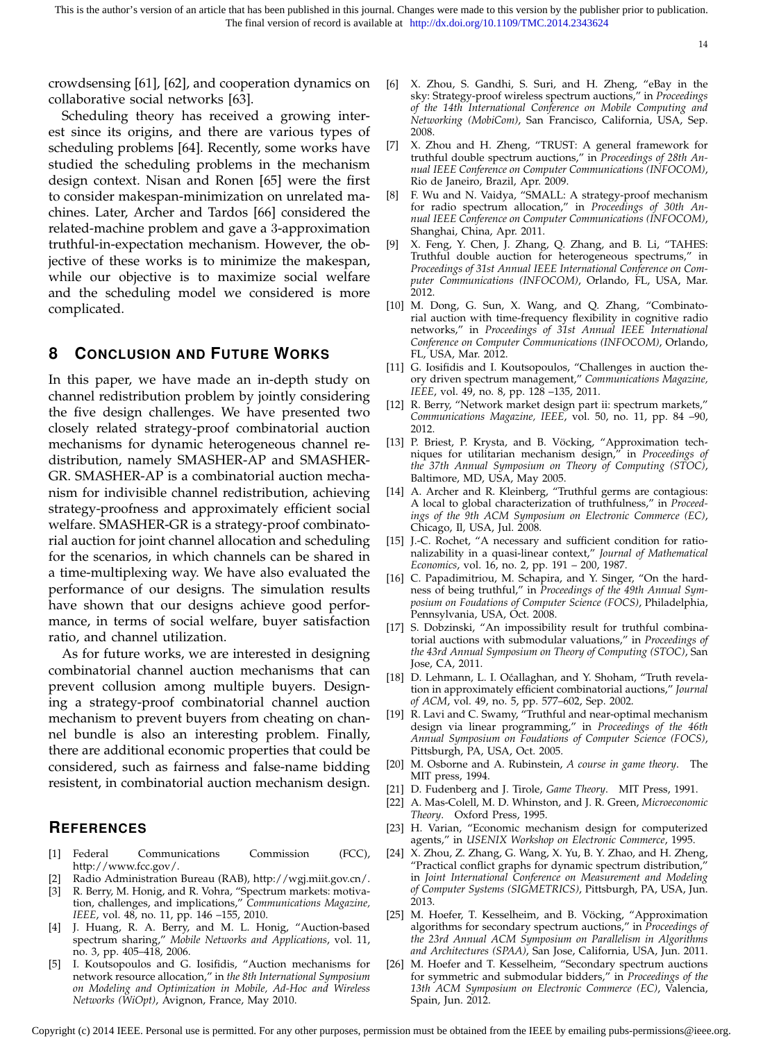crowdsensing [61], [62], and cooperation dynamics on collaborative social networks [63].

Scheduling theory has received a growing interest since its origins, and there are various types of scheduling problems [64]. Recently, some works have studied the scheduling problems in the mechanism design context. Nisan and Ronen [65] were the first to consider makespan-minimization on unrelated machines. Later, Archer and Tardos [66] considered the related-machine problem and gave a 3-approximation truthful-in-expectation mechanism. However, the objective of these works is to minimize the makespan, while our objective is to maximize social welfare and the scheduling model we considered is more complicated.

#### **8 CONCLUSION AND FUTURE WORKS**

In this paper, we have made an in-depth study on channel redistribution problem by jointly considering the five design challenges. We have presented two closely related strategy-proof combinatorial auction mechanisms for dynamic heterogeneous channel redistribution, namely SMASHER-AP and SMASHER-GR. SMASHER-AP is a combinatorial auction mechanism for indivisible channel redistribution, achieving strategy-proofness and approximately efficient social welfare. SMASHER-GR is a strategy-proof combinatorial auction for joint channel allocation and scheduling for the scenarios, in which channels can be shared in a time-multiplexing way. We have also evaluated the performance of our designs. The simulation results have shown that our designs achieve good performance, in terms of social welfare, buyer satisfaction ratio, and channel utilization.

As for future works, we are interested in designing combinatorial channel auction mechanisms that can prevent collusion among multiple buyers. Designing a strategy-proof combinatorial channel auction mechanism to prevent buyers from cheating on channel bundle is also an interesting problem. Finally, there are additional economic properties that could be considered, such as fairness and false-name bidding resistent, in combinatorial auction mechanism design.

#### **REFERENCES**

- [1] Federal Communications Commission (FCC), http://www.fcc.gov/.
- Radio Administration Bureau (RAB), http://wgj.miit.gov.cn/.
- R. Berry, M. Honig, and R. Vohra, "Spectrum markets: motivation, challenges, and implications," *Communications Magazine, IEEE*, vol. 48, no. 11, pp. 146 –155, 2010.
- [4] J. Huang, R. A. Berry, and M. L. Honig, "Auction-based spectrum sharing," *Mobile Networks and Applications*, vol. 11, no. 3, pp. 405–418, 2006.
- [5] I. Koutsopoulos and G. Iosifidis, "Auction mechanisms for network resource allocation," in *the 8th International Symposium on Modeling and Optimization in Mobile, Ad-Hoc and Wireless Networks (WiOpt)*, Avignon, France, May 2010.
- [6] X. Zhou, S. Gandhi, S. Suri, and H. Zheng, "eBay in the sky: Strategy-proof wireless spectrum auctions," in *Proceedings of the 14th International Conference on Mobile Computing and Networking (MobiCom)*, San Francisco, California, USA, Sep. 2008.
- [7] X. Zhou and H. Zheng, "TRUST: A general framework for truthful double spectrum auctions," in *Proceedings of 28th Annual IEEE Conference on Computer Communications (INFOCOM)*, Rio de Janeiro, Brazil, Apr. 2009.
- [8] F. Wu and N. Vaidya, "SMALL: A strategy-proof mechanism for radio spectrum allocation," in *Proceedings of 30th Annual IEEE Conference on Computer Communications (INFOCOM)*, Shanghai, China, Apr. 2011.
- [9] X. Feng, Y. Chen, J. Zhang, Q. Zhang, and B. Li, "TAHES: Truthful double auction for heterogeneous spectrums," in *Proceedings of 31st Annual IEEE International Conference on Computer Communications (INFOCOM)*, Orlando, FL, USA, Mar. 2012.
- [10] M. Dong, G. Sun, X. Wang, and Q. Zhang, "Combinatorial auction with time-frequency flexibility in cognitive radio networks," in *Proceedings of 31st Annual IEEE International Conference on Computer Communications (INFOCOM)*, Orlando, FL, USA, Mar. 2012.
- [11] G. Iosifidis and I. Koutsopoulos, "Challenges in auction theory driven spectrum management," *Communications Magazine, IEEE*, vol. 49, no. 8, pp. 128 –135, 2011.
- [12] R. Berry, "Network market design part ii: spectrum markets," *Communications Magazine, IEEE*, vol. 50, no. 11, pp. 84 –90, 2012.
- [13] P. Briest, P. Krysta, and B. Vöcking, "Approximation techniques for utilitarian mechanism design," in *Proceedings of the 37th Annual Symposium on Theory of Computing (STOC)*, Baltimore, MD, USA, May 2005.
- [14] A. Archer and R. Kleinberg, "Truthful germs are contagious: A local to global characterization of truthfulness," in *Proceedings of the 9th ACM Symposium on Electronic Commerce (EC)*, Chicago, Il, USA, Jul. 2008.
- [15] J.-C. Rochet, "A necessary and sufficient condition for rationalizability in a quasi-linear context," *Journal of Mathematical Economics*, vol. 16, no. 2, pp. 191 – 200, 1987.
- [16] C. Papadimitriou, M. Schapira, and Y. Singer, "On the hardness of being truthful," in *Proceedings of the 49th Annual Symposium on Foudations of Computer Science (FOCS)*, Philadelphia, Pennsylvania, USA, Oct. 2008.
- [17] S. Dobzinski, "An impossibility result for truthful combinatorial auctions with submodular valuations," in *Proceedings of the 43rd Annual Symposium on Theory of Computing (STOC)*, San Jose, CA, 2011.
- [18] D. Lehmann, L. I. Oćallaghan, and Y. Shoham, "Truth revelation in approximately efficient combinatorial auctions," *Journal of ACM*, vol. 49, no. 5, pp. 577–602, Sep. 2002.
- [19] R. Lavi and C. Swamy, "Truthful and near-optimal mechanism design via linear programming," in *Proceedings of the 46th Annual Symposium on Foudations of Computer Science (FOCS)*, Pittsburgh, PA, USA, Oct. 2005.
- [20] M. Osborne and A. Rubinstein, *A course in game theory*. The MIT press, 1994.
- [21] D. Fudenberg and J. Tirole, *Game Theory*. MIT Press, 1991.
- [22] A. Mas-Colell, M. D. Whinston, and J. R. Green, *Microeconomic Theory*. Oxford Press, 1995.
- [23] H. Varian, "Economic mechanism design for computerized agents," in *USENIX Workshop on Electronic Commerce*, 1995.
- [24] X. Zhou, Z. Zhang, G. Wang, X. Yu, B. Y. Zhao, and H. Zheng, "Practical conflict graphs for dynamic spectrum distribution," in *Joint International Conference on Measurement and Modeling of Computer Systems (SIGMETRICS)*, Pittsburgh, PA, USA, Jun. 2013.
- [25] M. Hoefer, T. Kesselheim, and B. Vöcking, "Approximation algorithms for secondary spectrum auctions," in *Proceedings of the 23rd Annual ACM Symposium on Parallelism in Algorithms and Architectures (SPAA)*, San Jose, California, USA, Jun. 2011.
- [26] M. Hoefer and T. Kesselheim, "Secondary spectrum auctions for symmetric and submodular bidders," in *Proceedings of the 13th ACM Symposium on Electronic Commerce (EC)*, Valencia, Spain, Jun. 2012.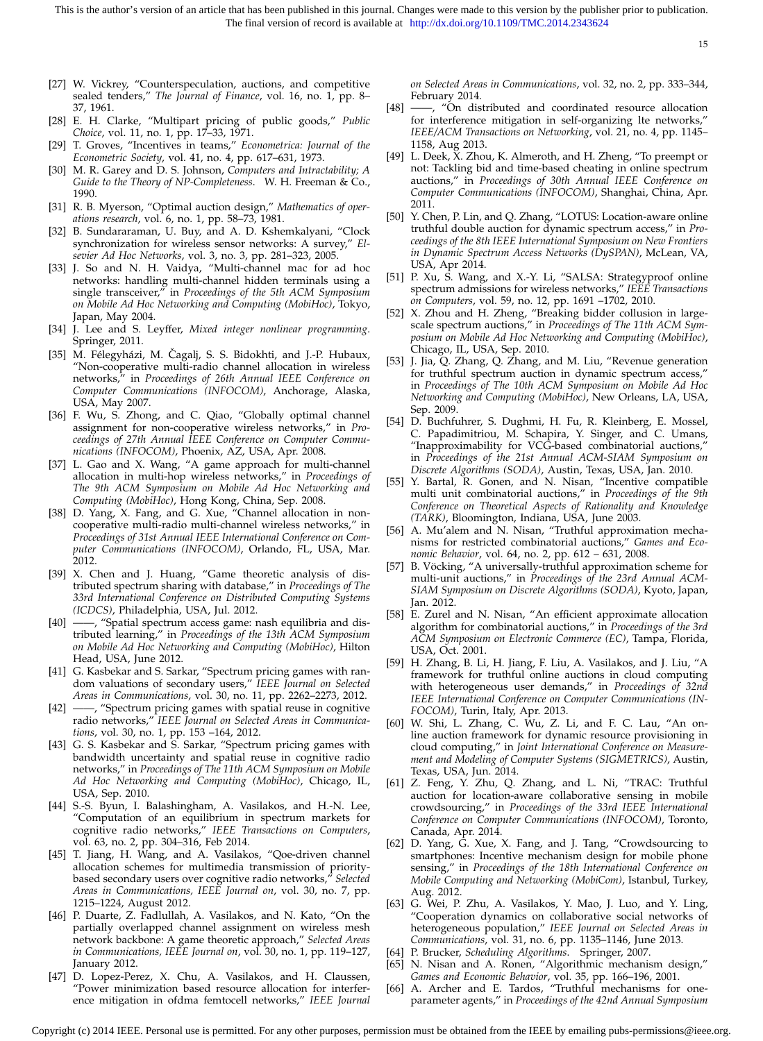- [27] W. Vickrey, "Counterspeculation, auctions, and competitive sealed tenders," *The Journal of Finance*, vol. 16, no. 1, pp. 8– 37, 1961.
- [28] E. H. Clarke, "Multipart pricing of public goods," *Public Choice*, vol. 11, no. 1, pp. 17–33, 1971.
- [29] T. Groves, "Incentives in teams," *Econometrica: Journal of the Econometric Society*, vol. 41, no. 4, pp. 617–631, 1973.
- [30] M. R. Garey and D. S. Johnson, *Computers and Intractability; A Guide to the Theory of NP-Completeness*. W. H. Freeman & Co., 1990.
- [31] R. B. Myerson, "Optimal auction design," *Mathematics of operations research*, vol. 6, no. 1, pp. 58–73, 1981.
- [32] B. Sundararaman, U. Buy, and A. D. Kshemkalyani, "Clock synchronization for wireless sensor networks: A survey," *Elsevier Ad Hoc Networks*, vol. 3, no. 3, pp. 281–323, 2005.
- [33] J. So and N. H. Vaidya, "Multi-channel mac for ad hoc networks: handling multi-channel hidden terminals using a single transceiver," in *Proceedings of the 5th ACM Symposium on Mobile Ad Hoc Networking and Computing (MobiHoc)*, Tokyo, Japan, May 2004.
- [34] J. Lee and S. Leyffer, *Mixed integer nonlinear programming*. Springer, 2011.
- [35] M. Félegyházi, M. Čagalj, S. S. Bidokhti, and J.-P. Hubaux, "Non-cooperative multi-radio channel allocation in wireless networks," in *Proceedings of 26th Annual IEEE Conference on Computer Communications (INFOCOM)*, Anchorage, Alaska, USA, May 2007.
- [36] F. Wu, S. Zhong, and C. Qiao, "Globally optimal channel assignment for non-cooperative wireless networks," in *Proceedings of 27th Annual IEEE Conference on Computer Communications (INFOCOM)*, Phoenix, AZ, USA, Apr. 2008.
- [37] L. Gao and X. Wang, "A game approach for multi-channel allocation in multi-hop wireless networks," in *Proceedings of The 9th ACM Symposium on Mobile Ad Hoc Networking and Computing (MobiHoc)*, Hong Kong, China, Sep. 2008.
- [38] D. Yang, X. Fang, and G. Xue, "Channel allocation in noncooperative multi-radio multi-channel wireless networks," in *Proceedings of 31st Annual IEEE International Conference on Computer Communications (INFOCOM)*, Orlando, FL, USA, Mar. 2012.
- [39] X. Chen and J. Huang, "Game theoretic analysis of distributed spectrum sharing with database," in *Proceedings of The 33rd International Conference on Distributed Computing Systems (ICDCS)*, Philadelphia, USA, Jul. 2012.
- [40] -, "Spatial spectrum access game: nash equilibria and distributed learning," in *Proceedings of the 13th ACM Symposium on Mobile Ad Hoc Networking and Computing (MobiHoc)*, Hilton Head, USA, June 2012.
- [41] G. Kasbekar and S. Sarkar, "Spectrum pricing games with random valuations of secondary users," *IEEE Journal on Selected Areas in Communications*, vol. 30, no. 11, pp. 2262–2273, 2012.
- [42] ——, "Spectrum pricing games with spatial reuse in cognitive radio networks," *IEEE Journal on Selected Areas in Communications*, vol. 30, no. 1, pp. 153 –164, 2012.
- [43] G. S. Kasbekar and S. Sarkar, "Spectrum pricing games with bandwidth uncertainty and spatial reuse in cognitive radio networks," in *Proceedings of The 11th ACM Symposium on Mobile Ad Hoc Networking and Computing (MobiHoc)*, Chicago, IL, USA, Sep. 2010.
- [44] S.-S. Byun, I. Balashingham, A. Vasilakos, and H.-N. Lee, "Computation of an equilibrium in spectrum markets for cognitive radio networks," *IEEE Transactions on Computers*, vol. 63, no. 2, pp. 304–316, Feb 2014.
- [45] T. Jiang, H. Wang, and A. Vasilakos, "Qoe-driven channel allocation schemes for multimedia transmission of prioritybased secondary users over cognitive radio networks," *Selected Areas in Communications, IEEE Journal on*, vol. 30, no. 7, pp. 1215–1224, August 2012.
- [46] P. Duarte, Z. Fadlullah, A. Vasilakos, and N. Kato, "On the partially overlapped channel assignment on wireless mesh network backbone: A game theoretic approach," *Selected Areas in Communications, IEEE Journal on*, vol. 30, no. 1, pp. 119–127, January 2012.
- [47] D. Lopez-Perez, X. Chu, A. Vasilakos, and H. Claussen, "Power minimization based resource allocation for interference mitigation in ofdma femtocell networks," *IEEE Journal*

*on Selected Areas in Communications*, vol. 32, no. 2, pp. 333–344, February 2014.

- [48] ——, "On distributed and coordinated resource allocation for interference mitigation in self-organizing lte networks," *IEEE/ACM Transactions on Networking*, vol. 21, no. 4, pp. 1145– 1158, Aug 2013.
- [49] L. Deek, X. Zhou, K. Almeroth, and H. Zheng, "To preempt or not: Tackling bid and time-based cheating in online spectrum auctions," in *Proceedings of 30th Annual IEEE Conference on Computer Communications (INFOCOM)*, Shanghai, China, Apr. 2011.
- [50] Y. Chen, P. Lin, and Q. Zhang, "LOTUS: Location-aware online truthful double auction for dynamic spectrum access," in *Proceedings of the 8th IEEE International Symposium on New Frontiers in Dynamic Spectrum Access Networks (DySPAN)*, McLean, VA, USA, Apr 2014.
- [51] P. Xu, S. Wang, and X.-Y. Li, "SALSA: Strategyproof online spectrum admissions for wireless networks," *IEEE Transactions on Computers*, vol. 59, no. 12, pp. 1691 –1702, 2010.
- [52] X. Zhou and H. Zheng, "Breaking bidder collusion in largescale spectrum auctions," in *Proceedings of The 11th ACM Symposium on Mobile Ad Hoc Networking and Computing (MobiHoc)*, Chicago, IL, USA, Sep. 2010.
- [53] J. Jia, Q. Zhang, Q. Zhang, and M. Liu, "Revenue generation for truthful spectrum auction in dynamic spectrum access, in *Proceedings of The 10th ACM Symposium on Mobile Ad Hoc Networking and Computing (MobiHoc)*, New Orleans, LA, USA, Sep. 2009.
- [54] D. Buchfuhrer, S. Dughmi, H. Fu, R. Kleinberg, E. Mossel, C. Papadimitriou, M. Schapira, Y. Singer, and C. Umans, "Inapproximability for VCG-based combinatorial auctions," in *Proceedings of the 21st Annual ACM-SIAM Symposium on Discrete Algorithms (SODA)*, Austin, Texas, USA, Jan. 2010.
- [55] Y. Bartal, R. Gonen, and N. Nisan, "Incentive compatible multi unit combinatorial auctions," in *Proceedings of the 9th Conference on Theoretical Aspects of Rationality and Knowledge (TARK)*, Bloomington, Indiana, USA, June 2003.
- [56] A. Mu'alem and N. Nisan, "Truthful approximation mechanisms for restricted combinatorial auctions," *Games and Economic Behavior*, vol. 64, no. 2, pp. 612 – 631, 2008.
- [57] B. Vöcking, "A universally-truthful approximation scheme for multi-unit auctions," in *Proceedings of the 23rd Annual ACM-SIAM Symposium on Discrete Algorithms (SODA)*, Kyoto, Japan, Jan. 2012.
- [58] E. Zurel and N. Nisan, "An efficient approximate allocation algorithm for combinatorial auctions," in *Proceedings of the 3rd ACM Symposium on Electronic Commerce (EC)*, Tampa, Florida, USA, Oct. 2001.
- [59] H. Zhang, B. Li, H. Jiang, F. Liu, A. Vasilakos, and J. Liu, "A framework for truthful online auctions in cloud computing with heterogeneous user demands," in *Proceedings of 32nd IEEE International Conference on Computer Communications (IN-FOCOM)*, Turin, Italy, Apr. 2013.
- [60] W. Shi, L. Zhang, C. Wu, Z. Li, and F. C. Lau, "An online auction framework for dynamic resource provisioning in cloud computing," in *Joint International Conference on Measurement and Modeling of Computer Systems (SIGMETRICS)*, Austin, Texas, USA, Jun. 2014.
- [61] Z. Feng, Y. Zhu, Q. Zhang, and L. Ni, "TRAC: Truthful auction for location-aware collaborative sensing in mobile crowdsourcing," in *Proceedings of the 33rd IEEE International Conference on Computer Communications (INFOCOM)*, Toronto, Canada, Apr. 2014.
- [62] D. Yang, G. Xue, X. Fang, and J. Tang, "Crowdsourcing to smartphones: Incentive mechanism design for mobile phone sensing," in *Proceedings of the 18th International Conference on Mobile Computing and Networking (MobiCom)*, Istanbul, Turkey, Aug. 2012.
- [63] G. Wei, P. Zhu, A. Vasilakos, Y. Mao, J. Luo, and Y. Ling, "Cooperation dynamics on collaborative social networks of heterogeneous population," *IEEE Journal on Selected Areas in Communications*, vol. 31, no. 6, pp. 1135–1146, June 2013.
- [64] P. Brucker, *Scheduling Algorithms*. Springer, 2007.
- [65] N. Nisan and A. Ronen, "Algorithmic mechanism design," *Games and Economic Behavior*, vol. 35, pp. 166–196, 2001.
- [66] A. Archer and E. Tardos, "Truthful mechanisms for oneparameter agents," in *Proceedings of the 42nd Annual Symposium*